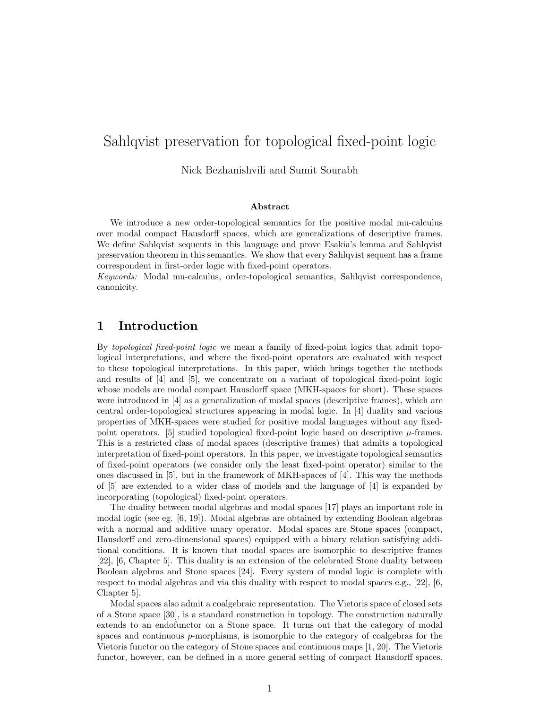# Sahlqvist preservation for topological fixed-point logic

Nick Bezhanishvili and Sumit Sourabh

#### Abstract

We introduce a new order-topological semantics for the positive modal mu-calculus over modal compact Hausdorff spaces, which are generalizations of descriptive frames. We define Sahlqvist sequents in this language and prove Esakia's lemma and Sahlqvist preservation theorem in this semantics. We show that every Sahlqvist sequent has a frame correspondent in first-order logic with fixed-point operators.

Keywords: Modal mu-calculus, order-topological semantics, Sahlqvist correspondence, canonicity.

### 1 Introduction

By *topological fixed-point logic* we mean a family of fixed-point logics that admit topological interpretations, and where the fixed-point operators are evaluated with respect to these topological interpretations. In this paper, which brings together the methods and results of [4] and [5], we concentrate on a variant of topological fixed-point logic whose models are modal compact Hausdorff space (MKH-spaces for short). These spaces were introduced in [4] as a generalization of modal spaces (descriptive frames), which are central order-topological structures appearing in modal logic. In [4] duality and various properties of MKH-spaces were studied for positive modal languages without any fixedpoint operators. [5] studied topological fixed-point logic based on descriptive  $\mu$ -frames. This is a restricted class of modal spaces (descriptive frames) that admits a topological interpretation of fixed-point operators. In this paper, we investigate topological semantics of fixed-point operators (we consider only the least fixed-point operator) similar to the ones discussed in [5], but in the framework of MKH-spaces of [4]. This way the methods of [5] are extended to a wider class of models and the language of [4] is expanded by incorporating (topological) fixed-point operators.

The duality between modal algebras and modal spaces [17] plays an important role in modal logic (see eg. [6, 19]). Modal algebras are obtained by extending Boolean algebras with a normal and additive unary operator. Modal spaces are Stone spaces (compact, Hausdorff and zero-dimensional spaces) equipped with a binary relation satisfying additional conditions. It is known that modal spaces are isomorphic to descriptive frames [22], [6, Chapter 5]. This duality is an extension of the celebrated Stone duality between Boolean algebras and Stone spaces [24]. Every system of modal logic is complete with respect to modal algebras and via this duality with respect to modal spaces e.g., [22], [6, Chapter 5].

Modal spaces also admit a coalgebraic representation. The Vietoris space of closed sets of a Stone space [30], is a standard construction in topology. The construction naturally extends to an endofunctor on a Stone space. It turns out that the category of modal spaces and continuous  $p$ -morphisms, is isomorphic to the category of coalgebras for the Vietoris functor on the category of Stone spaces and continuous maps [1, 20]. The Vietoris functor, however, can be defined in a more general setting of compact Hausdorff spaces.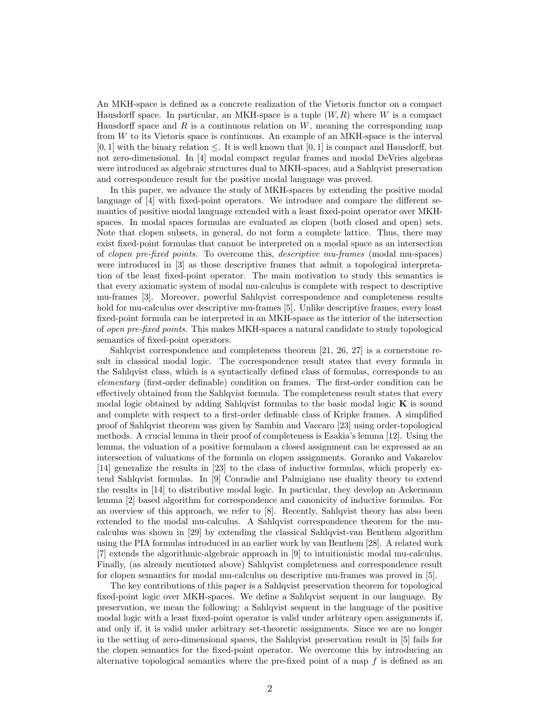An MKH-space is defined as a concrete realization of the Vietoris functor on a compact Hausdorff space. In particular, an MKH-space is a tuple  $(W, R)$  where W is a compact Hausdorff space and  $R$  is a continuous relation on  $W$ , meaning the corresponding map from W to its Vietoris space is continuous. An example of an MKH-space is the interval  $[0, 1]$  with the binary relation  $\leq$ . It is well known that  $[0, 1]$  is compact and Hausdorff, but not zero-dimensional. In [4] modal compact regular frames and modal DeVries algebras were introduced as algebraic structures dual to MKH-spaces, and a Sahlqvist preservation and correspondence result for the positive modal language was proved.

In this paper, we advance the study of MKH-spaces by extending the positive modal language of [4] with fixed-point operators. We introduce and compare the different semantics of positive modal language extended with a least fixed-point operator over MKHspaces. In modal spaces formulas are evaluated as clopen (both closed and open) sets. Note that clopen subsets, in general, do not form a complete lattice. Thus, there may exist fixed-point formulas that cannot be interpreted on a modal space as an intersection of clopen pre-fixed points. To overcome this, descriptive mu-frames (modal mu-spaces) were introduced in [3] as those descriptive frames that admit a topological interpretation of the least fixed-point operator. The main motivation to study this semantics is that every axiomatic system of modal mu-calculus is complete with respect to descriptive mu-frames [3]. Moreover, powerful Sahlqvist correspondence and completeness results hold for mu-calculus over descriptive mu-frames [5]. Unlike descriptive frames, every least fixed-point formula can be interpreted in an MKH-space as the interior of the intersection of open pre-fixed points. This makes MKH-spaces a natural candidate to study topological semantics of fixed-point operators.

Sahlqvist correspondence and completeness theorem [21, 26, 27] is a cornerstone result in classical modal logic. The correspondence result states that every formula in the Sahlqvist class, which is a syntactically defined class of formulas, corresponds to an elementary (first-order definable) condition on frames. The first-order condition can be effectively obtained from the Sahlqvist formula. The completeness result states that every modal logic obtained by adding Sahlqvist formulas to the basic modal logic  $\bf{K}$  is sound and complete with respect to a first-order definable class of Kripke frames. A simplified proof of Sahlqvist theorem was given by Sambin and Vaccaro [23] using order-topological methods. A crucial lemma in their proof of completeness is Esakia's lemma [12]. Using the lemma, the valuation of a positive formulaon a closed assignment can be expressed as an intersection of valuations of the formula on clopen assignments. Goranko and Vakarelov [14] generalize the results in [23] to the class of inductive formulas, which properly extend Sahlqvist formulas. In [9] Conradie and Palmigiano use duality theory to extend the results in [14] to distributive modal logic. In particular, they develop an Ackermann lemma [2] based algorithm for correspondence and canonicity of inductive formulas. For an overview of this approach, we refer to [8]. Recently, Sahlqvist theory has also been extended to the modal mu-calculus. A Sahlqvist correspondence theorem for the mucalculus was shown in [29] by extending the classical Sahlqvist-van Benthem algorithm using the PIA formulas introduced in an earlier work by van Benthem [28]. A related work [7] extends the algorithmic-algebraic approach in [9] to intuitionistic modal mu-calculus. Finally, (as already mentioned above) Sahlqvist completeness and correspondence result for clopen semantics for modal mu-calculus on descriptive mu-frames was proved in [5].

The key contributions of this paper is a Sahlqvist preservation theorem for topological fixed-point logic over MKH-spaces. We define a Sahlqvist sequent in our language. By preservation, we mean the following: a Sahlqvist sequent in the language of the positive modal logic with a least fixed-point operator is valid under arbitrary open assignments if, and only if, it is valid under arbitrary set-theoretic assignments. Since we are no longer in the setting of zero-dimensional spaces, the Sahlqvist preservation result in [5] fails for the clopen semantics for the fixed-point operator. We overcome this by introducing an alternative topological semantics where the pre-fixed point of a map  $f$  is defined as an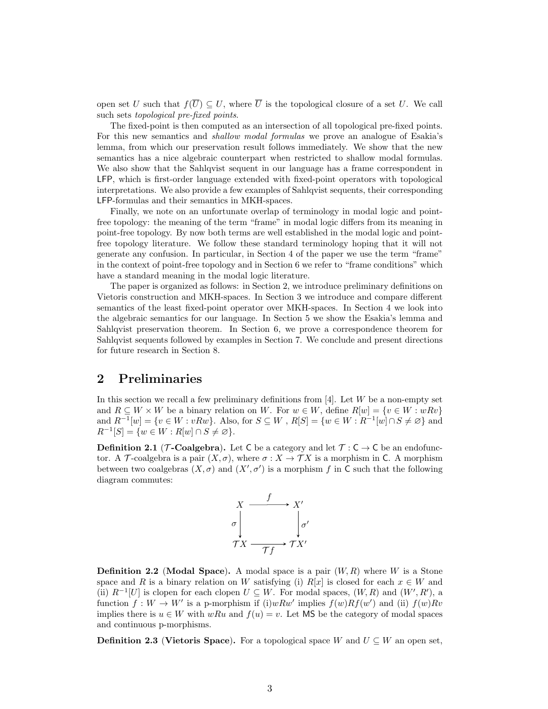open set U such that  $f(\overline{U}) \subseteq U$ , where  $\overline{U}$  is the topological closure of a set U. We call such sets topological pre-fixed points.

The fixed-point is then computed as an intersection of all topological pre-fixed points. For this new semantics and shallow modal formulas we prove an analogue of Esakia's lemma, from which our preservation result follows immediately. We show that the new semantics has a nice algebraic counterpart when restricted to shallow modal formulas. We also show that the Sahlqvist sequent in our language has a frame correspondent in LFP, which is first-order language extended with fixed-point operators with topological interpretations. We also provide a few examples of Sahlqvist sequents, their corresponding LFP-formulas and their semantics in MKH-spaces.

Finally, we note on an unfortunate overlap of terminology in modal logic and pointfree topology: the meaning of the term "frame" in modal logic differs from its meaning in point-free topology. By now both terms are well established in the modal logic and pointfree topology literature. We follow these standard terminology hoping that it will not generate any confusion. In particular, in Section 4 of the paper we use the term "frame" in the context of point-free topology and in Section 6 we refer to "frame conditions" which have a standard meaning in the modal logic literature.

The paper is organized as follows: in Section 2, we introduce preliminary definitions on Vietoris construction and MKH-spaces. In Section 3 we introduce and compare different semantics of the least fixed-point operator over MKH-spaces. In Section 4 we look into the algebraic semantics for our language. In Section 5 we show the Esakia's lemma and Sahlqvist preservation theorem. In Section 6, we prove a correspondence theorem for Sahlqvist sequents followed by examples in Section 7. We conclude and present directions for future research in Section 8.

### 2 Preliminaries

In this section we recall a few preliminary definitions from  $[4]$ . Let W be a non-empty set and  $R \subseteq W \times W$  be a binary relation on W. For  $w \in W$ , define  $R[w] = \{v \in W : wRv\}$ and  $R^{-1}[w] = \{v \in W : vRw\}$ . Also, for  $S \subseteq W$ ,  $R[S] = \{w \in W : R^{-1}[w] \cap S \neq \emptyset\}$  and  $R^{-1}[S] = \{w \in W : R[w] \cap S \neq \varnothing\}.$ 

**Definition 2.1** ( $\mathcal{T}$ -Coalgebra). Let C be a category and let  $\mathcal{T} : C \to C$  be an endofunctor. A T-coalgebra is a pair  $(X, \sigma)$ , where  $\sigma : X \to TX$  is a morphism in C. A morphism between two coalgebras  $(X, \sigma)$  and  $(X', \sigma')$  is a morphism f in C such that the following diagram commutes:



**Definition 2.2** (Modal Space). A modal space is a pair  $(W, R)$  where W is a Stone space and R is a binary relation on W satisfying (i) R[x] is closed for each  $x \in W$  and (ii)  $R^{-1}[U]$  is clopen for each clopen  $U \subseteq W$ . For modal spaces,  $(W, R)$  and  $(W', R')$ , a function  $f: W \to W'$  is a p-morphism if (i)wRw' implies  $f(w)Rf(w')$  and (ii)  $f(w)Rv$ implies there is  $u \in W$  with wRu and  $f(u) = v$ . Let MS be the category of modal spaces and continuous p-morphisms.

**Definition 2.3 (Vietoris Space).** For a topological space W and  $U \subseteq W$  an open set,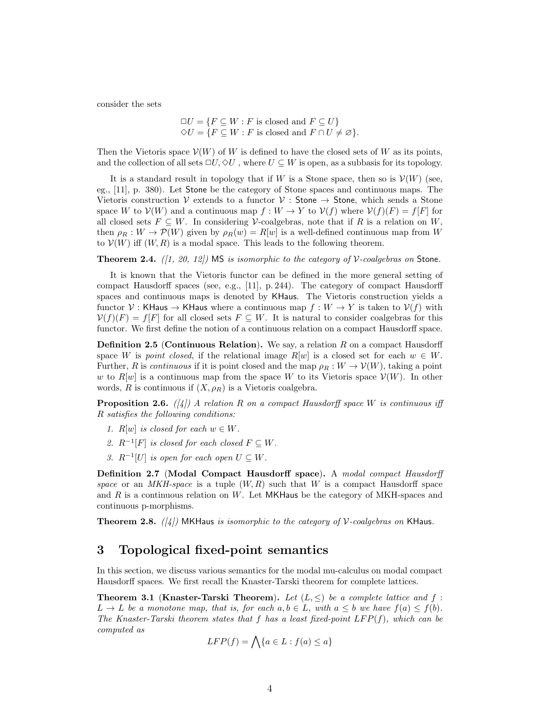consider the sets

$$
\Box U = \{ F \subseteq W : F \text{ is closed and } F \subseteq U \}
$$
  

$$
\Diamond U = \{ F \subseteq W : F \text{ is closed and } F \cap U \neq \varnothing \}.
$$

Then the Vietoris space  $V(W)$  of W is defined to have the closed sets of W as its points, and the collection of all sets  $\Box U$ ,  $\diamondsuit U$ , where  $U \subseteq W$  is open, as a subbasis for its topology.

It is a standard result in topology that if W is a Stone space, then so is  $\mathcal{V}(W)$  (see, eg., [11], p. 380). Let Stone be the category of Stone spaces and continuous maps. The Vietoris construction V extends to a functor  $V$ : Stone  $\rightarrow$  Stone, which sends a Stone space W to  $\mathcal{V}(W)$  and a continuous map  $f: W \to Y$  to  $\mathcal{V}(f)$  where  $\mathcal{V}(f)(F) = f[F]$  for all closed sets  $F \subseteq W$ . In considering V-coalgebras, note that if R is a relation on W. then  $\rho_R : W \to \mathcal{P}(W)$  given by  $\rho_R(w) = R[w]$  is a well-defined continuous map from W to  $V(W)$  iff  $(W, R)$  is a modal space. This leads to the following theorem.

**Theorem 2.4.** ([1, 20, 12]) MS is isomorphic to the category of V-coalgebras on Stone.

It is known that the Vietoris functor can be defined in the more general setting of compact Hausdorff spaces (see, e.g., [11], p. 244). The category of compact Hausdorff spaces and continuous maps is denoted by KHaus. The Vietoris construction yields a functor V : KHaus  $\rightarrow$  KHaus where a continuous map  $f: W \rightarrow Y$  is taken to  $V(f)$  with  $\mathcal{V}(f)(F) = f[F]$  for all closed sets  $F \subseteq W$ . It is natural to consider coalgebras for this functor. We first define the notion of a continuous relation on a compact Hausdorff space.

**Definition 2.5 (Continuous Relation).** We say, a relation  $R$  on a compact Hausdorff space W is point closed, if the relational image  $R[w]$  is a closed set for each  $w \in W$ . Further, R is continuous if it is point closed and the map  $\rho_R : W \to V(W)$ , taking a point w to R[w] is a continuous map from the space W to its Vietoris space  $V(W)$ . In other words, R is continuous if  $(X, \rho_R)$  is a Vietoris coalgebra.

**Proposition 2.6.** ([4]) A relation R on a compact Hausdorff space W is continuous iff R satisfies the following conditions:

- 1.  $R[w]$  is closed for each  $w \in W$ .
- 2.  $R^{-1}[F]$  is closed for each closed  $F \subseteq W$ .
- 3.  $R^{-1}[U]$  is open for each open  $U \subseteq W$ .

Definition 2.7 (Modal Compact Hausdorff space). A modal compact Hausdorff space or an MKH-space is a tuple  $(W, R)$  such that W is a compact Hausdorff space and  $R$  is a continuous relation on  $W$ . Let MKHaus be the category of MKH-spaces and continuous p-morphisms.

**Theorem 2.8.** ([4]) MKHaus is isomorphic to the category of V-coalgebras on KHaus.

### 3 Topological fixed-point semantics

In this section, we discuss various semantics for the modal mu-calculus on modal compact Hausdorff spaces. We first recall the Knaster-Tarski theorem for complete lattices.

**Theorem 3.1 (Knaster-Tarski Theorem).** Let  $(L, \leq)$  be a complete lattice and f:  $L \to L$  be a monotone map, that is, for each  $a, b \in L$ , with  $a \leq b$  we have  $f(a) \leq f(b)$ . The Knaster-Tarski theorem states that f has a least fixed-point  $LFP(f)$ , which can be computed as

$$
LFP(f) = \bigwedge \{a \in L : f(a) \le a\}
$$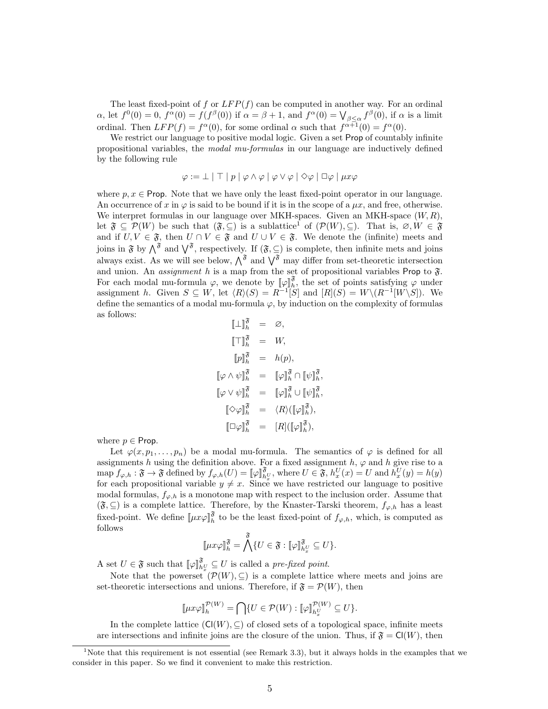The least fixed-point of f or  $LFP(f)$  can be computed in another way. For an ordinal  $\alpha$ , let  $f^0(0) = 0$ ,  $f^{\alpha}(0) = f(f^{\beta}(0))$  if  $\alpha = \beta + 1$ , and  $f^{\alpha}(0) = \bigvee_{\beta \leq \alpha} f^{\beta}(0)$ , if  $\alpha$  is a limit ordinal. Then  $LFP(f) = f^{\alpha}(0)$ , for some ordinal  $\alpha$  such that  $f^{\alpha+1}(0) = f^{\alpha}(0)$ .

We restrict our language to positive modal logic. Given a set Prop of countably infinite propositional variables, the modal mu-formulas in our language are inductively defined by the following rule

$$
\varphi := \bot \mid \top \mid p \mid \varphi \wedge \varphi \mid \varphi \vee \varphi \mid \Diamond \varphi \mid \Box \varphi \mid \mu x \varphi
$$

where  $p, x \in$  Prop. Note that we have only the least fixed-point operator in our language. An occurrence of x in  $\varphi$  is said to be bound if it is in the scope of a  $\mu x$ , and free, otherwise. We interpret formulas in our language over MKH-spaces. Given an MKH-space  $(W, R)$ , let  $\mathfrak{F} \subseteq \mathcal{P}(W)$  be such that  $(\mathfrak{F}, \subseteq)$  is a sublattice<sup>1</sup> of  $(\mathcal{P}(W), \subseteq)$ . That is,  $\varnothing, W \in \mathfrak{F}$ and if  $U, V \in \mathfrak{F}$ , then  $U \cap V \in \mathfrak{F}$  and  $U \cup V \in \mathfrak{F}$ . We denote the (infinite) meets and joins in  $\mathfrak{F}$  by  $\bigwedge^{\mathfrak{F}}$  and  $\bigvee^{\mathfrak{F}}$ , respectively. If  $(\mathfrak{F},\subseteq)$  is complete, then infinite mets and joins always exist. As we will see below,  $\hat{\Lambda}^{\mathfrak{F}}$  and  $\hat{\Lambda}^{\mathfrak{F}}$  may differ from set-theoretic intersection and union. An *assignment* h is a map from the set of propositional variables Prop to  $\mathfrak{F}$ . For each modal mu-formula  $\varphi$ , we denote by  $[\varphi]_h^{\mathfrak{F}}$ , the set of points satisfying  $\varphi$  under assignment h. Given  $S \subseteq W$ , let  $\langle R \rangle(S) = R^{-1}S$  and  $[R](S) = W\setminus(R^{-1}[W\setminus S])$ . We define the semantics of a modal mu-formula  $\varphi$ , by induction on the complexity of formulas as follows:

$$
\begin{aligned}\n\llbracket \bot \rrbracket_h^{\mathfrak{F}} &= \varnothing, \\
\llbracket \top \rrbracket_h^{\mathfrak{F}} &= W, \\
\llbracket p \rrbracket_h^{\mathfrak{F}} &= h(p), \\
\llbracket \varphi \wedge \psi \rrbracket_h^{\mathfrak{F}} &= \llbracket \varphi \rrbracket_h^{\mathfrak{F}} \cap \llbracket \psi \rrbracket_h^{\mathfrak{F}}, \\
\llbracket \varphi \vee \psi \rrbracket_h^{\mathfrak{F}} &= \llbracket \varphi \rrbracket_h^{\mathfrak{F}} \cup \llbracket \psi \rrbracket_h^{\mathfrak{F}}, \\
\llbracket \bigcirc \varphi \rrbracket_h^{\mathfrak{F}} &= \langle R \rangle (\llbracket \varphi \rrbracket_h^{\mathfrak{F}}), \\
\llbracket \Box \varphi \rrbracket_h^{\mathfrak{F}} &= \langle R \rangle (\llbracket \varphi \rrbracket_h^{\mathfrak{F}}),\n\end{aligned}
$$

where  $p \in$  Prop.

Let  $\varphi(x, p_1, \ldots, p_n)$  be a modal mu-formula. The semantics of  $\varphi$  is defined for all assignments h using the definition above. For a fixed assignment h,  $\varphi$  and h give rise to a  $\text{map } f_{\varphi,h} : \mathfrak{F} \to \mathfrak{F} \text{ defined by } f_{\varphi,h}(U) = [\varphi]_{h_{\omega}^{\varphi}}^{\mathfrak{F}}, \text{ where } U \in \mathfrak{F}, h_{x}^{U}(x) = U \text{ and } h_{x}^{U}(y) = h(y)$ for each propositional variable  $y \neq x$ . Since we have restricted our language to positive modal formulas,  $f_{\varphi,h}$  is a monotone map with respect to the inclusion order. Assume that  $(\mathfrak{F}, ⊆)$  is a complete lattice. Therefore, by the Knaster-Tarski theorem,  $f_{\varphi,h}$  has a least fixed-point. We define  $[\![\mu x \varphi]\!]_h^{\mathfrak{F}}$  to be the least fixed-point of  $f_{\varphi,h}$ , which, is computed as follows

$$
\llbracket \mu x \varphi \rrbracket_h^{\mathfrak{F}} = \bigwedge^{\mathfrak{F}} \{ U \in \mathfrak{F} : \llbracket \varphi \rrbracket_{h_x^U}^{\mathfrak{F}} \subseteq U \}.
$$

A set  $U \in \mathfrak{F}$  such that  $[\![\varphi]\!]_{h_x^U}^{\mathfrak{F}} \subseteq U$  is called a *pre-fixed point.* 

Note that the powerset  $(\mathcal{P}(W), \subseteq)$  is a complete lattice where meets and joins are set-theoretic intersections and unions. Therefore, if  $\mathfrak{F} = \mathcal{P}(W)$ , then

$$
\llbracket \mu x \varphi \rrbracket_h^{\mathcal{P}(W)} = \bigcap \{ U \in \mathcal{P}(W) : \llbracket \varphi \rrbracket_{h_x^U}^{\mathcal{P}(W)} \subseteq U \}.
$$

In the complete lattice  $(\mathsf{Cl}(W), \subseteq)$  of closed sets of a topological space, infinite meets are intersections and infinite joins are the closure of the union. Thus, if  $\mathfrak{F} = \mathsf{Cl}(W)$ , then

<sup>&</sup>lt;sup>1</sup>Note that this requirement is not essential (see Remark 3.3), but it always holds in the examples that we consider in this paper. So we find it convenient to make this restriction.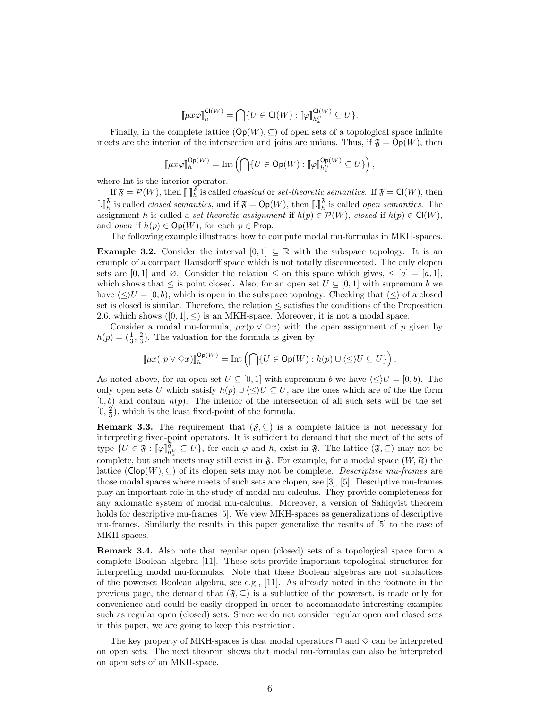$$
\llbracket \mu x \varphi \rrbracket^{ \text{Cl}(W)}_h = \bigcap \{ U \in \text{Cl}(W) : \llbracket \varphi \rrbracket^{ \text{Cl}(W)}_{h^U_x} \subseteq U \}.
$$

Finally, in the complete lattice  $(\mathsf{Op}(W), \subseteq)$  of open sets of a topological space infinite meets are the interior of the intersection and joins are unions. Thus, if  $\mathfrak{F} = \mathsf{Op}(W)$ , then

$$
\llbracket \mu x \varphi \rrbracket^{ \mathsf{Op}(W)}_h = \text{Int}\left(\bigcap \{U \in \mathsf{Op}(W) : \llbracket \varphi \rrbracket^{ \mathsf{Op}(W)}_{h_x^U} \subseteq U\}\right),
$$

where Int is the interior operator.

If  $\mathfrak{F} = \mathcal{P}(W)$ , then  $[\![ . ]\!]_h^{\mathfrak{F}}$  is called *classical* or *set-theoretic semantics*. If  $\mathfrak{F} = \mathsf{Cl}(W)$ , then  $\llbracket . \rrbracket_h^{\mathfrak{F}}$  is called *closed semantics*, and if  $\mathfrak{F} = \mathsf{Op}(W)$ , then  $\llbracket . \rrbracket_h^{\mathfrak{F}}$  is called *open semantics*. The assignment h is called a set-theoretic assignment if  $h(p) \in \mathcal{P}(W)$ , closed if  $h(p) \in \mathsf{Cl}(W)$ , and *open* if  $h(p) \in \text{Op}(W)$ , for each  $p \in \text{Prop}$ .

The following example illustrates how to compute modal mu-formulas in MKH-spaces.

**Example 3.2.** Consider the interval  $[0,1] \subseteq \mathbb{R}$  with the subspace topology. It is an example of a compact Hausdorff space which is not totally disconnected. The only clopen sets are [0, 1] and ∅. Consider the relation  $\leq$  on this space which gives,  $\leq$  [a] = [a, 1], which shows that  $\leq$  is point closed. Also, for an open set  $U \subseteq [0,1]$  with supremum b we have  $\langle \leq \rangle U = [0, b)$ , which is open in the subspace topology. Checking that  $\langle \leq \rangle$  of a closed set is closed is similar. Therefore, the relation  $\leq$  satisfies the conditions of the Proposition 2.6, which shows  $([0, 1], <)$  is an MKH-space. Moreover, it is not a modal space.

Consider a modal mu-formula,  $\mu x(p \vee \Diamond x)$  with the open assignment of p given by  $h(p) = (\frac{1}{3}, \frac{2}{3})$ . The valuation for the formula is given by

$$
\llbracket \mu x(\ p \vee \Diamond x) \rrbracket_{h}^{\mathsf{Op}(W)} = \mathrm{Int}\left(\bigcap \{U \in \mathsf{Op}(W) : h(p) \cup \langle \leq \rangle U \subseteq U\}\right).
$$

As noted above, for an open set  $U \subseteq [0,1]$  with supremum b we have  $\langle \leq \rangle U = [0,b)$ . The only open sets U which satisfy  $h(p) \cup \langle \langle \rangle U \subseteq U$ , are the ones which are of the the form  $[0, b)$  and contain  $h(p)$ . The interior of the intersection of all such sets will be the set  $(0, \frac{2}{3})$ , which is the least fixed-point of the formula.

**Remark 3.3.** The requirement that  $(\mathfrak{F}, \subseteq)$  is a complete lattice is not necessary for interpreting fixed-point operators. It is sufficient to demand that the meet of the sets of type  $\{U \in \mathfrak{F} : \llbracket \varphi \rrbracket_{h_x}^{\mathfrak{F}} \subseteq U\}$ , for each  $\varphi$  and h, exist in  $\mathfrak{F}$ . The lattice  $(\mathfrak{F}, \subseteq)$  may not be complete, but such meets may still exist in  $\mathfrak{F}$ . For example, for a modal space  $(W, R)$  the lattice  $(\mathsf{Clop}(W), \subseteq)$  of its clopen sets may not be complete. Descriptive mu-frames are those modal spaces where meets of such sets are clopen, see [3], [5]. Descriptive mu-frames play an important role in the study of modal mu-calculus. They provide completeness for any axiomatic system of modal mu-calculus. Moreover, a version of Sahlqvist theorem holds for descriptive mu-frames [5]. We view MKH-spaces as generalizations of descriptive mu-frames. Similarly the results in this paper generalize the results of [5] to the case of MKH-spaces.

Remark 3.4. Also note that regular open (closed) sets of a topological space form a complete Boolean algebra [11]. These sets provide important topological structures for interpreting modal mu-formulas. Note that these Boolean algebras are not sublattices of the powerset Boolean algebra, see e.g., [11]. As already noted in the footnote in the previous page, the demand that  $(\mathfrak{F}, \subseteq)$  is a sublattice of the powerset, is made only for convenience and could be easily dropped in order to accommodate interesting examples such as regular open (closed) sets. Since we do not consider regular open and closed sets in this paper, we are going to keep this restriction.

The key property of MKH-spaces is that modal operators  $\Box$  and  $\diamondsuit$  can be interpreted on open sets. The next theorem shows that modal mu-formulas can also be interpreted on open sets of an MKH-space.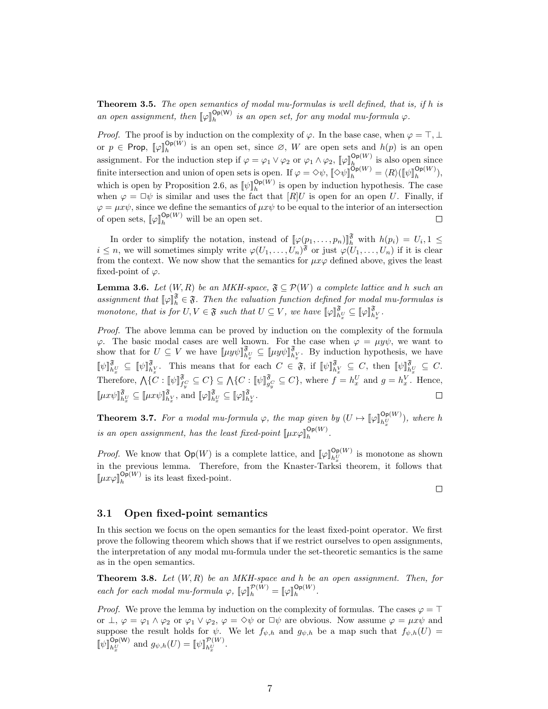**Theorem 3.5.** The open semantics of modal mu-formulas is well defined, that is, if  $h$  is an open assignment, then  $[\![\varphi]\!]_h^{\mathsf{Op}(W)}$  is an open set, for any modal mu-formula  $\varphi$ .

*Proof.* The proof is by induction on the complexity of  $\varphi$ . In the base case, when  $\varphi = \top$ , ⊥ or  $p \in \mathsf{Prop}$ ,  $[\![\varphi]\!]_h^{\mathsf{Op}(W)}$  is an open set, since  $\varnothing$ , W are open sets and  $h(p)$  is an open assignment. For the induction step if  $\varphi = \varphi_1 \vee \varphi_2$  or  $\varphi_1 \wedge \varphi_2$ ,  $[\varphi]_h^{\mathsf{Op}(W)}$  is also open since finite intersection and union of open sets is open. If  $\varphi = \Diamond \psi$ ,  $[\![\Diamond \psi]\!]_h^{\mathsf{Op}(W)} = \langle R \rangle (\llbracket \psi \rrbracket_h^{\mathsf{Op}(W)})$ , which is open by Proposition 2.6, as  $[\![\psi]\!]_h^{\mathsf{Op}(W)}$  is open by induction hypothesis. The case when  $\varphi = \Box \psi$  is similar and uses the fact that  $[R]U$  is open for an open U. Finally, if  $\varphi = \mu x \psi$ , since we define the semantics of  $\mu x \psi$  to be equal to the interior of an intersection of open sets,  $[\![\varphi]\!]_h^{\mathsf{Op}(W)}$  will be an open set.  $\Box$ 

In order to simplify the notation, instead of  $[\![\varphi(p_1,\ldots,p_n)]\!]_h^{\mathfrak{F}}$  with  $h(p_i) = U_i, 1 \leq$  $i \leq n$ , we will sometimes simply write  $\varphi(U_1, \ldots, U_n)$ <sup>3</sup> or just  $\varphi(U_1, \ldots, U_n)$  if it is clear from the context. We now show that the semantics for  $\mu x \varphi$  defined above, gives the least fixed-point of  $\varphi$ .

**Lemma 3.6.** Let  $(W, R)$  be an MKH-space,  $\mathfrak{F} \subseteq \mathcal{P}(W)$  a complete lattice and h such an assignment that  $[\![\varphi]\!]_h^{\mathfrak{F}} \in \mathfrak{F}$ . Then the valuation function defined for modal mu-formulas is monotone, that is for  $U, V \in \mathfrak{F}$  such that  $U \subseteq V$ , we have  $[\![\varphi]\!]_{h_x^V}^{\mathfrak{F}} \subseteq [\![\varphi]\!]_{h_x^V}^{\mathfrak{F}}$ .

Proof. The above lemma can be proved by induction on the complexity of the formula  $\varphi$ . The basic modal cases are well known. For the case when  $\varphi = \mu y \psi$ , we want to show that for  $U \subseteq V$  we have  $[\![\mu y \psi]\!]_{h^U_x}^{\mathfrak{F}} \subseteq [\![\mu y \psi]\!]_{h^V_x}^{\mathfrak{F}}$ . By induction hypothesis, we have  $[\![\psi]\!]_{h_{\mathcal{X}}^{\tilde{\mathbf{y}}}}^{\tilde{\mathbf{y}}} \subseteq [\![\psi]\!]_{h_{\mathcal{X}}^{\tilde{\mathbf{y}}}}^{\tilde{\mathbf{y}}}$ . This means that for each  $C \in \mathfrak{F}$ , if  $[\![\psi]\!]_{h_{\mathcal{X}}^{\tilde{\mathbf{y}}}}^{\tilde{\mathbf{y}}} \subseteq C$ , then  $[\![\psi]\!]_{h_{\mathcal{Y}}^{\tilde{\mathbf{y}}}}^{\tilde{\mathbf{y}}} \subseteq C$ . Therefore,  $\bigwedge \{C : \llbracket \psi \rrbracket_{f_v^C}^{\mathfrak{F}} \subseteq C\} \subseteq \bigwedge \{C : \llbracket \psi \rrbracket_{g_v^C}^{\mathfrak{F}} \subseteq C\}$ , where  $f = h_x^U$  and  $g = h_x^V$ . Hence,  $\llbracket \mu x \psi \rrbracket_{h_x^V}^{\mathfrak{F}} \subseteq \llbracket \mu x \psi \rrbracket_{h_x^V}^{\mathfrak{F}}, \text{ and } \llbracket \varphi \rrbracket_{h_x^V}^{\mathfrak{F}} \subseteq \llbracket \varphi \rrbracket_{h_x^V}^{\mathfrak{F}}.$  $\Box$ 

**Theorem 3.7.** For a modal mu-formula  $\varphi$ , the map given by  $(U \mapsto [\varphi]_{h_x^U}^{\mathsf{Op}(W)})$ , where h is an open assignment, has the least fixed-point  $[\mu x \varphi]_h^{\mathsf{Op}(W)}$ .

*Proof.* We know that  $Op(W)$  is a complete lattice, and  $[\![\varphi]\!]_{h_x^U}^{Op(W)}$  is monotone as shown in the previous lemma. Therefore, from the Knaster-Tarksi theorem, it follows that  $\llbracket \mu x \varphi \rrbracket_h^{\mathsf{Op}(W)}$  is its least fixed-point.

 $\Box$ 

#### 3.1 Open fixed-point semantics

In this section we focus on the open semantics for the least fixed-point operator. We first prove the following theorem which shows that if we restrict ourselves to open assignments, the interpretation of any modal mu-formula under the set-theoretic semantics is the same as in the open semantics.

**Theorem 3.8.** Let  $(W, R)$  be an MKH-space and h be an open assignment. Then, for each for each modal mu-formula  $\varphi$ ,  $[\varphi]_h^{\mathcal{P}(W)} = [\varphi]_h^{\mathcal{O}_{\mathbf{P}(W)}}$ .

*Proof.* We prove the lemma by induction on the complexity of formulas. The cases  $\varphi = \top$ or  $\perp, \varphi = \varphi_1 \wedge \varphi_2$  or  $\varphi_1 \vee \varphi_2, \varphi = \Diamond \psi$  or  $\Box \psi$  are obvious. Now assume  $\varphi = \mu x \psi$  and suppose the result holds for  $\psi$ . We let  $f_{\psi,h}$  and  $g_{\psi,h}$  be a map such that  $f_{\psi,h}(U)$  $[\![\psi]\!]_{h_{\underline{v}}^U}^{\mathsf{Op}(\mathsf{W})}$  and  $g_{\psi,h}(U) = [\![\psi]\!]_{h_{\underline{v}}^U}^{\mathcal{P}(W)}.$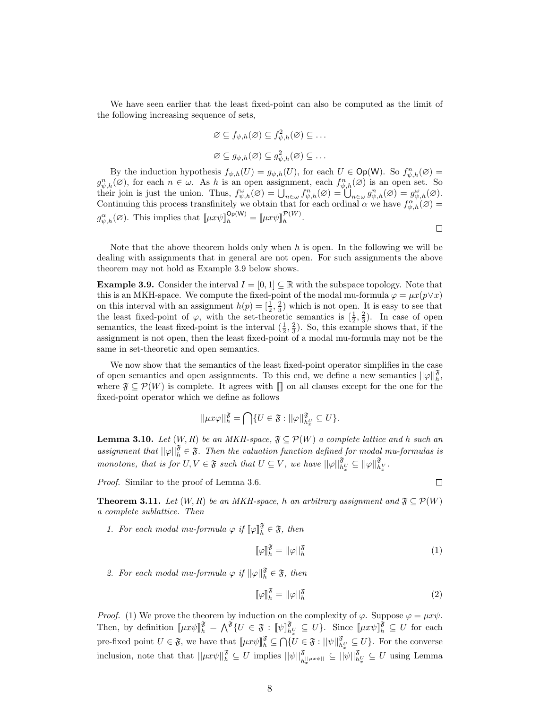We have seen earlier that the least fixed-point can also be computed as the limit of the following increasing sequence of sets,

$$
\varnothing \subseteq f_{\psi,h}(\varnothing) \subseteq f_{\psi,h}^2(\varnothing) \subseteq \dots
$$
  

$$
\varnothing \subseteq g_{\psi,h}(\varnothing) \subseteq g_{\psi,h}^2(\varnothing) \subseteq \dots
$$

By the induction hypothesis  $f_{\psi,h}(U) = g_{\psi,h}(U)$ , for each  $U \in \mathsf{Op}(\mathsf{W})$ . So  $f_{\psi,h}^n(\varnothing) =$  $g_{\psi,h}^n(\varnothing)$ , for each  $n \in \omega$ . As h is an open assignment, each  $f_{\psi,h}^n(\varnothing)$  is an open set. So their join is just the union. Thus,  $f^{\omega}_{\psi,h}(\varnothing) = \bigcup_{n \in \omega} f^{n}_{\psi,h}(\varnothing) = \bigcup_{n \in \omega} g^{n}_{\psi,h}(\varnothing) = g^{\omega}_{\psi,h}(\varnothing)$ . Continuing this process transfinitely we obtain that for each ordinal  $\alpha$  we have  $f_{\psi,h}^{\alpha}(\emptyset)$  =  $g_{\psi,h}^{\alpha}(\varnothing)$ . This implies that  $[\![\mu x\psi]\!]_h^{\mathsf{Op}(\mathsf{W})} = [\![\mu x\psi]\!]_h^{\mathsf{P}(\mathsf{W})}$ .  $\Box$ 

Note that the above theorem holds only when  $h$  is open. In the following we will be dealing with assignments that in general are not open. For such assignments the above theorem may not hold as Example 3.9 below shows.

**Example 3.9.** Consider the interval  $I = [0, 1] \subseteq \mathbb{R}$  with the subspace topology. Note that this is an MKH-space. We compute the fixed-point of the modal mu-formula  $\varphi = \mu x (p \vee x)$ on this interval with an assignment  $h(p) = \left[\frac{1}{2}, \frac{2}{3}\right]$  which is not open. It is easy to see that the least fixed-point of  $\varphi$ , with the set-theoretic semantics is  $[\frac{1}{2}, \frac{2}{3})$ . In case of open semantics, the least fixed-point is the interval  $(\frac{1}{2}, \frac{2}{3})$ . So, this example shows that, if the assignment is not open, then the least fixed-point of a modal mu-formula may not be the same in set-theoretic and open semantics.

We now show that the semantics of the least fixed-point operator simplifies in the case of open semantics and open assignments. To this end, we define a new semantics  $||\varphi||_h^{\mathfrak{F}}$ , where  $\mathfrak{F} \subseteq \mathcal{P}(W)$  is complete. It agrees with  $\mathfrak{m}$  on all clauses except for the one for the fixed-point operator which we define as follows

$$
||\mu x \varphi||_h^{\mathfrak{F}} = \bigcap \{ U \in \mathfrak{F} : ||\varphi||_{h_x^U}^{\mathfrak{F}} \subseteq U \}.
$$

**Lemma 3.10.** Let  $(W, R)$  be an MKH-space,  $\mathfrak{F} \subseteq \mathcal{P}(W)$  a complete lattice and h such an assignment that  $||\varphi||_h^{\mathfrak{F}} \in \mathfrak{F}$ . Then the valuation function defined for modal mu-formulas is monotone, that is for  $U, V \in \mathfrak{F}$  such that  $U \subseteq V$ , we have  $||\varphi||_{h_x^V}^{\mathfrak{F}} \subseteq ||\varphi||_{h_x^V}^{\mathfrak{F}}$ .

Proof. Similar to the proof of Lemma 3.6.

 $\Box$ 

**Theorem 3.11.** Let  $(W, R)$  be an MKH-space, h an arbitrary assignment and  $\mathfrak{F} \subseteq \mathcal{P}(W)$ a complete sublattice. Then

1. For each modal mu-formula  $\varphi$  if  $[\varphi]_h^{\mathfrak{F}} \in \mathfrak{F}$ , then

$$
\llbracket \varphi \rrbracket_h^{\mathfrak{F}} = ||\varphi||_h^{\mathfrak{F}} \tag{1}
$$

2. For each modal mu-formula  $\varphi$  if  $||\varphi||_h^{\mathfrak{F}} \in \mathfrak{F}$ , then

$$
\llbracket \varphi \rrbracket_h^{\mathfrak{F}} = ||\varphi||_h^{\mathfrak{F}} \tag{2}
$$

*Proof.* (1) We prove the theorem by induction on the complexity of  $\varphi$ . Suppose  $\varphi = \mu x \psi$ . Then, by definition  $[\mu x \psi]_h^{\mathfrak{F}} = \Lambda^{\mathfrak{F}} \{ U \in \mathfrak{F} : [\psi]_{h_x^U}^{\mathfrak{F}} \subseteq U \}$ . Since  $[\mu x \psi]_h^{\mathfrak{F}} \subseteq U$  for each pre-fixed point  $U \in \mathfrak{F}$ , we have that  $[\![\mu x \psi]\!]_h^{\mathfrak{F}} \subseteq \bigcap \{U \in \mathfrak{F} : ||\psi||_{h_x^U}^{\mathfrak{F}} \subseteq U\}$ . For the converse inclusion, note that that  $||\mu x \psi||_h^{\mathfrak{F}} \subseteq U$  implies  $||\psi||_{h_x^{\perp} \mu x \psi||}^{\mathfrak{F}} \subseteq ||\psi||_{h_x^{\mathcal{F}}}^{\mathfrak{F}} \subseteq U$  using Lemma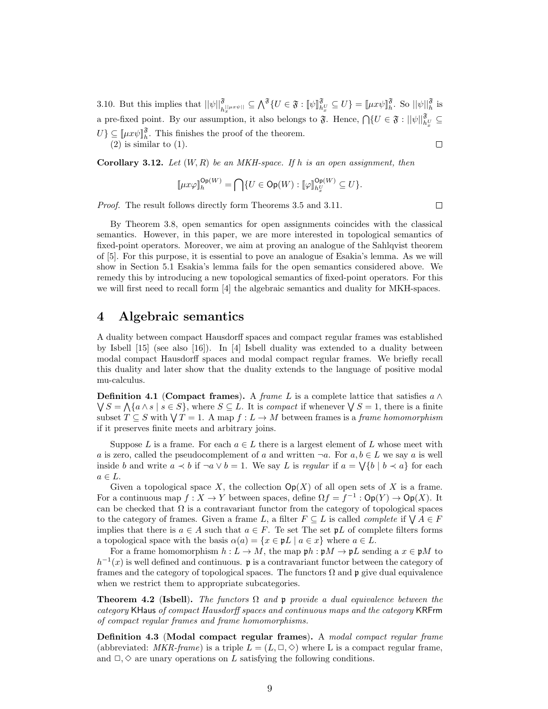3.10. But this implies that  $||\psi||_{h^{||\mu x \psi||}}^{\mathfrak{F}} \subseteq \bigwedge^{\mathfrak{F}} \{U \in \mathfrak{F} : ||\psi||_{h_x}^{\mathfrak{F}} \subseteq U\} = ||\mu x \psi||_h^{\mathfrak{F}}$ . So  $||\psi||_h^{\mathfrak{F}}$  is a pre-fixed point. By our assumption, it also belongs to  $\mathfrak{F}$ . Hence,  $\bigcap \{U \in \mathfrak{F} : ||\psi||_{h_{\omega}^U}^{\mathfrak{F}} \subseteq$  $U$ }  $\subseteq$  [ $\mu x \psi$ ]<sup>§</sup>. This finishes the proof of the theorem.  $(2)$  is similar to  $(1)$ .  $\Box$ 

**Corollary 3.12.** Let  $(W, R)$  be an MKH-space. If h is an open assignment, then

$$
\llbracket \mu x \varphi \rrbracket^{\mathsf{Op}(W)}_h = \bigcap \{ U \in \mathsf{Op}(W) : [\![\varphi]\!]_{h^U_x}^{\mathsf{Op}(W)} \subseteq U \}.
$$

Proof. The result follows directly form Theorems 3.5 and 3.11.

By Theorem 3.8, open semantics for open assignments coincides with the classical semantics. However, in this paper, we are more interested in topological semantics of fixed-point operators. Moreover, we aim at proving an analogue of the Sahlqvist theorem of [5]. For this purpose, it is essential to pove an analogue of Esakia's lemma. As we will show in Section 5.1 Esakia's lemma fails for the open semantics considered above. We remedy this by introducing a new topological semantics of fixed-point operators. For this we will first need to recall form [4] the algebraic semantics and duality for MKH-spaces.

### 4 Algebraic semantics

A duality between compact Hausdorff spaces and compact regular frames was established by Isbell  $[15]$  (see also  $[16]$ ). In  $[4]$  Isbell duality was extended to a duality between modal compact Hausdorff spaces and modal compact regular frames. We briefly recall this duality and later show that the duality extends to the language of positive modal mu-calculus.

**Definition 4.1** (Compact frames). A frame L is a complete lattice that satisfies  $a \wedge$  $\bigvee S = \bigwedge \{a \wedge s \mid s \in S\}$ , where  $S \subseteq L$ . It is compact if whenever  $\bigvee S = 1$ , there is a finite subset  $T \subseteq S$  with  $\bigvee T = 1$ . A map  $f : L \to M$  between frames is a *frame homomorphism* if it preserves finite meets and arbitrary joins.

Suppose L is a frame. For each  $a \in L$  there is a largest element of L whose meet with a is zero, called the pseudocomplement of a and written  $\neg a$ . For  $a, b \in L$  we say a is well inside b and write  $a \lt b$  if  $\neg a \lor b = 1$ . We say L is regular if  $a = \bigvee \{b \mid b \lt a\}$  for each  $a \in L$ .

Given a topological space X, the collection  $Op(X)$  of all open sets of X is a frame. For a continuous map  $f: X \to Y$  between spaces, define  $\Omega f = f^{-1} : \mathsf{Op}(Y) \to \mathsf{Op}(X)$ . It can be checked that  $\Omega$  is a contravariant functor from the category of topological spaces to the category of frames. Given a frame L, a filter  $F \subseteq L$  is called *complete* if  $\bigvee A \in F$ implies that there is  $a \in A$  such that  $a \in F$ . Te set The set  $\mathfrak{p}L$  of complete filters forms a topological space with the basis  $\alpha(a) = \{x \in \mathfrak{p}L \mid a \in x\}$  where  $a \in L$ .

For a frame homomorphism  $h: L \to M$ , the map  $\mathfrak{p}h: \mathfrak{p}M \to \mathfrak{p}L$  sending a  $x \in \mathfrak{p}M$  to  $h^{-1}(x)$  is well defined and continuous. p is a contravariant functor between the category of frames and the category of topological spaces. The functors  $\Omega$  and p give dual equivalence when we restrict them to appropriate subcategories.

**Theorem 4.2 (Isbell).** The functors  $\Omega$  and p provide a dual equivalence between the category KHaus of compact Hausdorff spaces and continuous maps and the category KRFrm of compact regular frames and frame homomorphisms.

Definition 4.3 (Modal compact regular frames). A modal compact regular frame (abbreviated:  $MKR-frame$ ) is a triple  $L = (L, \Box, \Diamond)$  where L is a compact regular frame, and  $\Box, \Diamond$  are unary operations on L satisfying the following conditions.

 $\Box$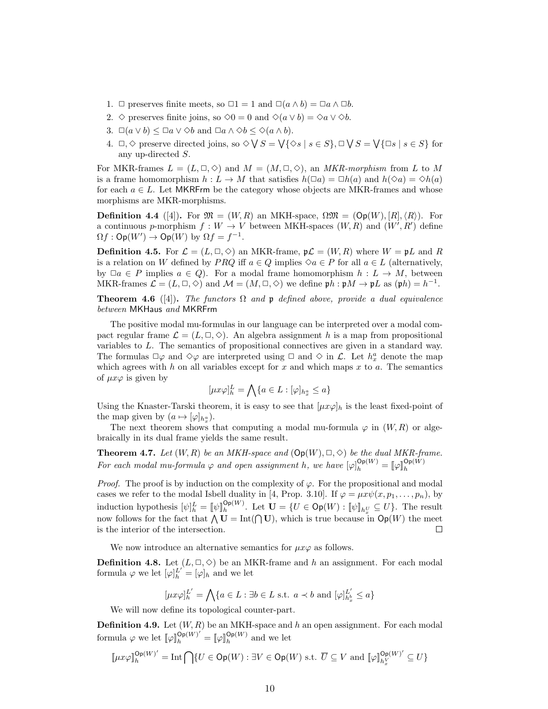- 1.  $\Box$  preserves finite meets, so  $\Box 1 = 1$  and  $\Box(a \land b) = \Box a \land \Box b$ .
- 2.  $\diamond$  preserves finite joins, so  $\diamond 0 = 0$  and  $\diamond (a \vee b) = \diamond a \vee \diamond b$ .
- 3.  $\Box(a \lor b) \leq \Box a \lor \Diamond b$  and  $\Box a \land \Diamond b \leq \Diamond (a \land b)$ .
- 4.  $\Box, \Diamond$  preserve directed joins, so  $\Diamond \bigvee S = \bigvee \{ \Diamond s \mid s \in S \}, \Box \bigvee S = \bigvee \{ \Box s \mid s \in S \}$  for any up-directed S.

For MKR-frames  $L = (L, \Box, \Diamond)$  and  $M = (M, \Box, \Diamond)$ , an *MKR-morphism* from L to M is a frame homomorphism  $h: L \to M$  that satisfies  $h(\Box a) = \Box h(a)$  and  $h(\Diamond a) = \Diamond h(a)$ for each  $a \in L$ . Let MKRFrm be the category whose objects are MKR-frames and whose morphisms are MKR-morphisms.

**Definition 4.4** ([4]). For  $\mathfrak{M} = (W, R)$  an MKH-space,  $\Omega \mathfrak{M} = (\mathsf{Op}(W), [R], \langle R \rangle)$ . For a continuous p-morphism  $f: W \to V$  between MKH-spaces  $(W, R)$  and  $(W', R')$  define  $\Omega f : \mathsf{Op}(W') \to \mathsf{Op}(W)$  by  $\Omega f = f^{-1}$ .

**Definition 4.5.** For  $\mathcal{L} = (L, \Box, \Diamond)$  an MKR-frame,  $\mathfrak{p} \mathcal{L} = (W, R)$  where  $W = \mathfrak{p} L$  and R is a relation on W defined by PRQ iff  $a \in Q$  implies  $\Diamond a \in P$  for all  $a \in L$  (alternatively, by  $\Box a \in P$  implies  $a \in Q$ ). For a modal frame homomorphism  $h : L \to M$ , between MKR-frames  $\mathcal{L} = (L, \Box, \Diamond)$  and  $\mathcal{M} = (M, \Box, \Diamond)$  we define  $\mathfrak{p}h : \mathfrak{p}M \to \mathfrak{p}L$  as  $(\mathfrak{p}h) = h^{-1}$ .

**Theorem 4.6** ([4]). The functors  $\Omega$  and p defined above, provide a dual equivalence between MKHaus and MKRFrm

The positive modal mu-formulas in our language can be interpreted over a modal compact regular frame  $\mathcal{L} = (L, \Box, \Diamond)$ . An algebra assignment h is a map from propositional variables to L. The semantics of propositional connectives are given in a standard way. The formulas  $\Box \varphi$  and  $\diamond \varphi$  are interpreted using  $\Box$  and  $\diamond$  in  $\mathcal{L}$ . Let  $h_x^a$  denote the map which agrees with h on all variables except for x and which maps x to a. The semantics of  $\mu x \varphi$  is given by

$$
[\mu x \varphi]_h^L = \bigwedge \{ a \in L : [\varphi]_{h_x^a} \le a \}
$$

Using the Knaster-Tarski theorem, it is easy to see that  $[\mu x \varphi]_h$  is the least fixed-point of the map given by  $(a \mapsto [\varphi]_{h_x^a}).$ 

The next theorem shows that computing a modal mu-formula  $\varphi$  in  $(W, R)$  or algebraically in its dual frame yields the same result.

**Theorem 4.7.** Let  $(W, R)$  be an MKH-space and  $(\mathsf{Op}(W), \square, \Diamond)$  be the dual MKR-frame. For each modal mu-formula  $\varphi$  and open assignment h, we have  $[\varphi]_h^{\mathsf{Op}(W)} = [\varphi]_h^{\mathsf{Op}(W)}$ 

*Proof.* The proof is by induction on the complexity of  $\varphi$ . For the propositional and modal cases we refer to the modal Isbell duality in [4, Prop. 3.10]. If  $\varphi = \mu x \psi(x, p_1, \ldots, p_n)$ , by induction hypothesis  $[\psi]_h^L = [\![\psi]\!]_h^{\mathsf{Op}(W)}$ . Let  $\mathbf{U} = \{U \in \mathsf{Op}(W) : [\![\psi]\!]_{h^U_{\underline{v}}} \subseteq U\}$ . The result now follows for the fact that  $\bigwedge \mathbf{U} = \text{Int}(\bigcap \mathbf{U})$ , which is true because in  $\text{Op}(W)$  the meet is the interior of the intersection.  $\Box$ 

We now introduce an alternative semantics for  $\mu x\varphi$  as follows.

**Definition 4.8.** Let  $(L, \Box, \Diamond)$  be an MKR-frame and h an assignment. For each modal formula  $\varphi$  we let  $[\varphi]_h^{L'} = [\varphi]_h$  and we let

$$
[\mu x \varphi]_h^{L'} = \bigwedge \{ a \in L : \exists b \in L \text{ s.t. } a \prec b \text{ and } [\varphi]_{h_x^b}^{L'} \le a \}
$$

We will now define its topological counter-part.

**Definition 4.9.** Let  $(W, R)$  be an MKH-space and h an open assignment. For each modal formula  $\varphi$  we let  $[\![\varphi]\!]_h^{\mathsf{Op}(W)'} = [\![\varphi]\!]_h^{\mathsf{Op}(W)}$  and we let

$$
\llbracket \mu x \varphi \rrbracket^{ \mathsf{Op}(W)'}_h = \mathrm{Int} \bigcap \{ U \in \mathsf{Op}(W) : \exists V \in \mathsf{Op}(W) \text{ s.t. } \overline{U} \subseteq V \text{ and } \llbracket \varphi \rrbracket^{ \mathsf{Op}(W)'}_{h_x^V} \subseteq U \}
$$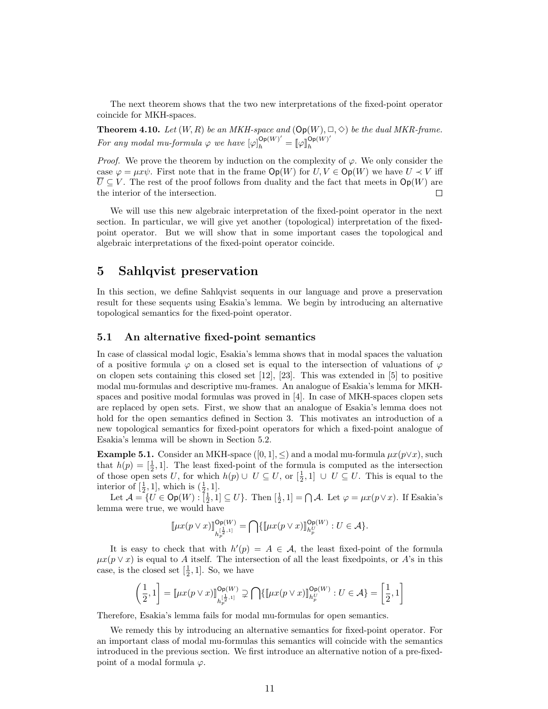The next theorem shows that the two new interpretations of the fixed-point operator coincide for MKH-spaces.

**Theorem 4.10.** Let  $(W, R)$  be an MKH-space and  $(\text{Op}(W), \Box, \Diamond)$  be the dual MKR-frame. For any modal mu-formula  $\varphi$  we have  $[\varphi]_h^{\mathsf{Op}(W)'} = [\varphi]_h^{\mathsf{Op}(W)'}$ h

*Proof.* We prove the theorem by induction on the complexity of  $\varphi$ . We only consider the case  $\varphi = \mu x \psi$ . First note that in the frame  $Op(W)$  for  $U, V \in Op(W)$  we have  $U \prec V$  iff  $\overline{U} \subseteq V$ . The rest of the proof follows from duality and the fact that meets in  $\mathsf{Op}(W)$  are the interior of the intersection.  $\Box$ 

We will use this new algebraic interpretation of the fixed-point operator in the next section. In particular, we will give yet another (topological) interpretation of the fixedpoint operator. But we will show that in some important cases the topological and algebraic interpretations of the fixed-point operator coincide.

### 5 Sahlqvist preservation

In this section, we define Sahlqvist sequents in our language and prove a preservation result for these sequents using Esakia's lemma. We begin by introducing an alternative topological semantics for the fixed-point operator.

#### 5.1 An alternative fixed-point semantics

In case of classical modal logic, Esakia's lemma shows that in modal spaces the valuation of a positive formula  $\varphi$  on a closed set is equal to the intersection of valuations of  $\varphi$ on clopen sets containing this closed set [12], [23]. This was extended in [5] to positive modal mu-formulas and descriptive mu-frames. An analogue of Esakia's lemma for MKHspaces and positive modal formulas was proved in [4]. In case of MKH-spaces clopen sets are replaced by open sets. First, we show that an analogue of Esakia's lemma does not hold for the open semantics defined in Section 3. This motivates an introduction of a new topological semantics for fixed-point operators for which a fixed-point analogue of Esakia's lemma will be shown in Section 5.2.

Example 5.1. Consider an MKH-space ([0, 1],  $\leq$ ) and a modal mu-formula  $\mu x(p \vee x)$ , such that  $h(p) = \left[\frac{1}{2}, 1\right]$ . The least fixed-point of the formula is computed as the intersection of those open sets U, for which  $h(p) \cup U \subseteq U$ , or  $[\frac{1}{2}, 1] \cup U \subseteq U$ . This is equal to the interior of  $[\frac{1}{2}, 1]$ , which is  $(\frac{1}{2}, 1]$ .

Let  $\mathcal{A} = \{U \in \mathsf{Op}(W) : [\frac{1}{2}, 1] \subseteq U\}$ . Then  $[\frac{1}{2}, 1] = \bigcap \mathcal{A}$ . Let  $\varphi = \mu x(p \vee x)$ . If Esakia's lemma were true, we would have

$$
[\![\mu x (p\vee x)]\!]_{h_p^{[\frac{1}{2},1]}}^{\mathsf{Op}(W)}=\bigcap\{[\![\mu x (p\vee x)]\!]_{h_p^U}^{\mathsf{Op}(W)}:U\in \mathcal{A}\}.
$$

It is easy to check that with  $h'(p) = A \in \mathcal{A}$ , the least fixed-point of the formula  $\mu x(p \vee x)$  is equal to A itself. The intersection of all the least fixed points, or A's in this case, is the closed set  $[\frac{1}{2}, 1]$ . So, we have

$$
\left(\frac{1}{2},1\right] = \left[\mu x(p\vee x)\right]_{h_p^{\left[\frac{1}{2},1\right)}}^{\mathsf{Op}(W)} \supsetneq \bigcap \{ \left[\mu x(p\vee x)\right]_{h_p^U}^{\mathsf{Op}(W)} : U \in \mathcal{A} \} = \left[\frac{1}{2},1\right]
$$

Therefore, Esakia's lemma fails for modal mu-formulas for open semantics.

We remedy this by introducing an alternative semantics for fixed-point operator. For an important class of modal mu-formulas this semantics will coincide with the semantics introduced in the previous section. We first introduce an alternative notion of a pre-fixedpoint of a modal formula  $\varphi$ .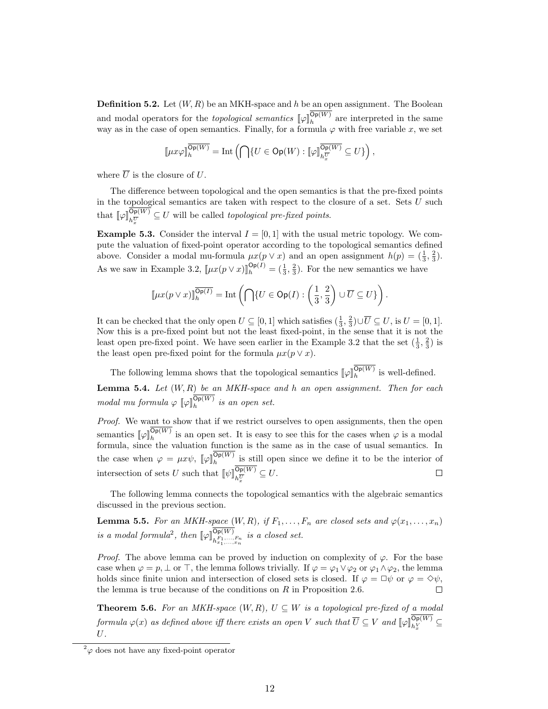**Definition 5.2.** Let  $(W, R)$  be an MKH-space and h be an open assignment. The Boolean and modal operators for the *topological semantics*  $[\![\varphi]\!]_h^{\mathsf{Op}(W)}$  are interpreted in the same way as in the case of open semantics. Finally, for a formula  $\varphi$  with free variable x, we set

$$
\llbracket \mu x \varphi \rrbracket^{\overline{\mathsf{Op}(W)}}_h = \mathrm{Int}\left(\bigcap\{U\in \mathsf{Op}(W): \llbracket \varphi\rrbracket^{\overline{\mathsf{Op}(W)}}_{h^{\overline{U}}_x} \subseteq U\}\right),
$$

where  $\overline{U}$  is the closure of U.

The difference between topological and the open semantics is that the pre-fixed points in the topological semantics are taken with respect to the closure of a set. Sets  $U$  such that  $[\![\varphi]\!]_{h_{\overline{x}}^{\overline{U}}}^{\mathsf{Op}(W)} \subseteq U$  will be called *topological pre-fixed points*.

**Example 5.3.** Consider the interval  $I = [0, 1]$  with the usual metric topology. We compute the valuation of fixed-point operator according to the topological semantics defined above. Consider a modal mu-formula  $\mu x(p \vee x)$  and an open assignment  $h(p) = (\frac{1}{3}, \frac{2}{3})$ . As we saw in Example 3.2,  $[\mu x(p \lor x)]_h^{\text{Op}(I)} = (\frac{1}{3}, \frac{2}{3})$ . For the new semantics we have

$$
\llbracket \mu x(p \vee x) \rrbracket^{\overline{\mathsf{Op}(I)}}_h = \mathrm{Int}\left(\bigcap \{U \in \mathsf{Op}(I) : \left(\frac{1}{3}, \frac{2}{3}\right) \cup \overline{U} \subseteq U\}\right).
$$

It can be checked that the only open  $U \subseteq [0,1]$  which satisfies  $(\frac{1}{3}, \frac{2}{3}) \cup \overline{U} \subseteq U$ , is  $U = [0,1]$ . Now this is a pre-fixed point but not the least fixed-point, in the sense that it is not the least open pre-fixed point. We have seen earlier in the Example 3.2 that the set  $(\frac{1}{3}, \frac{2}{3})$  is the least open pre-fixed point for the formula  $\mu x (p \vee x)$ .

The following lemma shows that the topological semantics  $[\![\varphi]\!]_h^{\mathsf{Op}(W)}$  is well-defined. **Lemma 5.4.** Let  $(W, R)$  be an MKH-space and h an open assignment. Then for each modal mu formula  $\varphi \llbracket \varphi \rrbracket_h^{\mathsf{Op}(W)}$  is an open set.

Proof. We want to show that if we restrict ourselves to open assignments, then the open semantics  $[\![\varphi]\!]_h^{\mathsf{Op}(W)}$  is an open set. It is easy to see this for the cases when  $\varphi$  is a modal formula, since the valuation function is the same as in the case of usual semantics. In the case when  $\varphi = \mu x \psi$ ,  $[\varphi]_h^{\mathsf{Op}(W)}$  is still open since we define it to be the interior of intersection of sets U such that  $[\![\psi]\!]_{h_{\overline{x}}^{\overline{U}}}^{\mathsf{Op}(W)} \subseteq U.$ 

The following lemma connects the topological semantics with the algebraic semantics discussed in the previous section.

**Lemma 5.5.** For an MKH-space  $(W, R)$ , if  $F_1, \ldots, F_n$  are closed sets and  $\varphi(x_1, \ldots, x_n)$ is a modal formula<sup>2</sup>, then  $[\![\varphi]\!]_{h_{x_1,\dots,x_n}^{\mathcal{D}_p(W)}}^{\mathcal{D}_p(W)}$  is a closed set.

*Proof.* The above lemma can be proved by induction on complexity of  $\varphi$ . For the base case when  $\varphi = p, \perp \text{ or } \top$ , the lemma follows trivially. If  $\varphi = \varphi_1 \vee \varphi_2$  or  $\varphi_1 \wedge \varphi_2$ , the lemma holds since finite union and intersection of closed sets is closed. If  $\varphi = \Box \psi$  or  $\varphi = \Diamond \psi$ , the lemma is true because of the conditions on  $R$  in Proposition 2.6.  $\Box$ 

**Theorem 5.6.** For an MKH-space  $(W, R)$ ,  $U \subseteq W$  is a topological pre-fixed of a modal  $formula \varphi(x)$  as defined above iff there exists an open V such that  $\overline{U} \subseteq V$  and  $\llbracket \varphi \rrbracket_{h_x^V}^{\mathsf{Op}(W)} \subseteq V$  $U$ .

 $^{2}\varphi$  does not have any fixed-point operator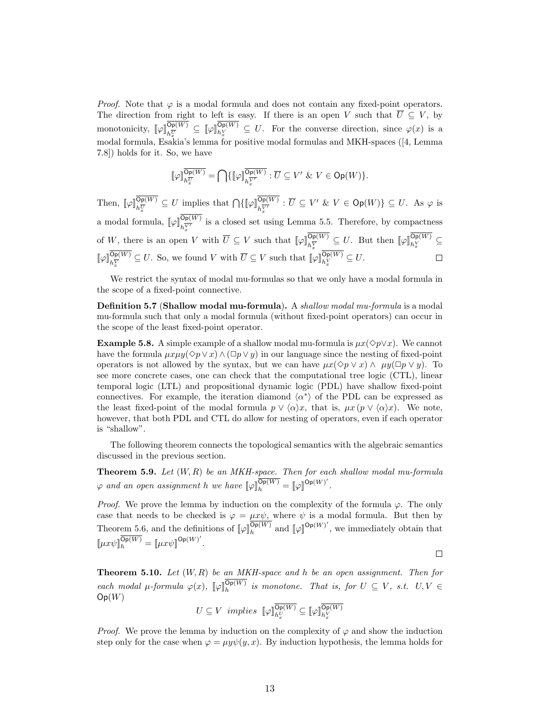*Proof.* Note that  $\varphi$  is a modal formula and does not contain any fixed-point operators. The direction from right to left is easy. If there is an open V such that  $\overline{U} \subseteq V$ , by monotonicity,  $[\![\varphi]\!]_{h_{\mathcal{X}}^{\overline{U}}}^{\mathsf{Op}(W)} \subseteq [\![\varphi]\!]_{h_{\mathcal{X}}^{\overline{V}}}^{\mathsf{Op}(W)} \subseteq U$ . For the converse direction, since  $\varphi(x)$  is a modal formula, Esakia's lemma for positive modal formulas and MKH-spaces ([4, Lemma 7.8]) holds for it. So, we have

$$
[\![\varphi]\!]_{h_{\overline{x}}^{\overline{U}}}^{\overline{\text{Op}(W)}} = \bigcap \{ [\![\varphi]\!]_{h_{\overline{x}}^{\overline{V'}}}^{\overline{\text{Op}(W)}} : \overline{U} \subseteq V' \ \& \ V \in \text{Op}(W) \}.
$$

Then,  $[\![\varphi]\!]_{h_{\overline{x}}^{\overline{U}}}^{\mathsf{Op}(W)} \subseteq U$  implies that  $\bigcap \{[\![\varphi]\!]_{h_{\overline{x}}^{\overline{V'}}}^{\mathsf{Op}(W)} : \overline{U} \subseteq V' \& V \in \mathsf{Op}(W)\} \subseteq U$ . As  $\varphi$  is a modal formula,  $[\![\varphi]\!]_{h_{Y}^{\overline{V}}}^{\mathsf{Op}(W)}$  is a closed set using Lemma 5.5. Therefore, by compactness of W, there is an open V with  $\overline{U} \subseteq V$  such that  $[\![\varphi]\!]_{h_{\overline{X}}^{\overline{V}}}^{\overline{Op(W)}} \subseteq U$ . But then  $[\![\varphi]\!]_{h_{\overline{X}}^{\overline{V}}}^{\overline{Op(W)}} \subseteq$  $[\![\varphi]\!]_{h_{\mathcal{X}}^{\overline{V}}}^{\mathsf{Op}(W)} \subseteq U$ . So, we found V with  $\overline{U} \subseteq V$  such that  $[\![\varphi]\!]_{h_{\mathcal{X}}^{\overline{V}}}^{\mathsf{Op}(W)} \subseteq U$ .  $\Box$ 

We restrict the syntax of modal mu-formulas so that we only have a modal formula in the scope of a fixed-point connective.

Definition 5.7 (Shallow modal mu-formula). A shallow modal mu-formula is a modal mu-formula such that only a modal formula (without fixed-point operators) can occur in the scope of the least fixed-point operator.

**Example 5.8.** A simple example of a shallow modal mu-formula is  $\mu x(\Diamond p \lor x)$ . We cannot have the formula  $\mu x \mu y(\Diamond p \lor x) \land (\Box p \lor y)$  in our language since the nesting of fixed-point operators is not allowed by the syntax, but we can have  $\mu x(\Diamond p \lor x) \land \mu y(\Box p \lor y)$ . To see more concrete cases, one can check that the computational tree logic (CTL), linear temporal logic (LTL) and propositional dynamic logic (PDL) have shallow fixed-point connectives. For example, the iteration diamond  $\langle \alpha^* \rangle$  of the PDL can be expressed as the least fixed-point of the modal formula  $p \vee \langle \alpha \rangle x$ , that is,  $\mu x$  ( $p \vee \langle \alpha \rangle x$ ). We note, however, that both PDL and CTL do allow for nesting of operators, even if each operator is "shallow".

The following theorem connects the topological semantics with the algebraic semantics discussed in the previous section.

**Theorem 5.9.** Let  $(W, R)$  be an MKH-space. Then for each shallow modal mu-formula  $\varphi$  and an open assignment h we have  $[\![\varphi]\!]_h^{\overline{\mathsf{Op}(W)}} = [\![\varphi]\!]^{\mathsf{Op}(W)'}$ .

*Proof.* We prove the lemma by induction on the complexity of the formula  $\varphi$ . The only case that needs to be checked is  $\varphi = \mu x \psi$ , where  $\psi$  is a modal formula. But then by Theorem 5.6, and the definitions of  $\llbracket \varphi \rrbracket^{\overline{\mathsf{Op}(W)}}$  and  $\llbracket \varphi \rrbracket^{\mathsf{Op}(W)'}$ , we immediately obtain that  $\llbracket \mu x \psi \rrbracket^{\overline{\mathsf{Op}(W)}}_h = \llbracket \mu x \psi \rrbracket^{\mathsf{Op}(W)'} .$ 

 $\Box$ 

**Theorem 5.10.** Let  $(W, R)$  be an MKH-space and h be an open assignment. Then for each modal  $\mu$ -formula  $\varphi(x)$ ,  $[\varphi]_h^{\mathsf{Op}(W)}$  is monotone. That is, for  $U \subseteq V$ , s.t.  $U, V \in$  $Op(W)$ 

$$
U \subseteq V \ \ implies \ \ \llbracket \varphi \rrbracket_{h_x^V}^{\overline{\mathsf{Op}(W)}} \subseteq \llbracket \varphi \rrbracket_{h_x^V}^{\overline{\mathsf{Op}(W)}}
$$

*Proof.* We prove the lemma by induction on the complexity of  $\varphi$  and show the induction step only for the case when  $\varphi = \mu y \psi(y, x)$ . By induction hypothesis, the lemma holds for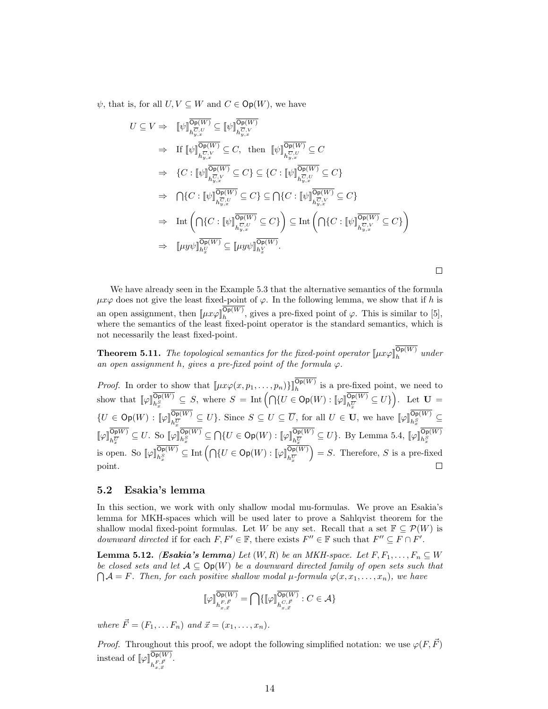$\psi$ , that is, for all  $U, V \subseteq W$  and  $C \in \mathsf{Op}(W)$ , we have

$$
U \subseteq V \Rightarrow \quad [\![\psi]\!]_{h_{y,x}^{\overline{C},U}}^{\overline{\mathsf{Op}(W)}} \subseteq [\![\psi]\!]_{h_{y,x}^{\overline{C},V}}^{\overline{\mathsf{Op}(W)}} \n\Rightarrow \quad \text{If } [\![\psi]\!]_{h_{y,x}^{\overline{C},V}}^{\overline{\mathsf{Op}(W)}} \subseteq C, \text{ then } [\![\psi]\!]_{h_{y,x}^{\overline{C},U}}^{\overline{\mathsf{Op}(W)}} \subseteq C \n\Rightarrow \quad \{C : [\![\psi]\!]_{h_{y,x}^{\overline{C},V}}^{\overline{\mathsf{Op}(W)}} \subseteq C\} \subseteq \{C : [\![\psi]\!]_{h_{y,x}^{\overline{C},U}}^{\overline{\mathsf{Op}(W)}} \subseteq C\} \n\Rightarrow \quad \bigcap\{C : [\![\psi]\!]_{h_{y,x}^{\overline{C},V}}^{\overline{\mathsf{Op}(W)}} \subseteq C\} \subseteq \bigcap\{C : [\![\psi]\!]_{h_{y,x}^{\overline{C},V}}^{\overline{\mathsf{Op}(W)}} \subseteq C\} \n\Rightarrow \quad \text{Int}\left(\bigcap\{C : [\![\psi]\!]_{h_{y,x}^{\overline{C},V}}^{\overline{\mathsf{Op}(W)}} \subseteq C\}\right) \subseteq \text{Int}\left(\bigcap\{C : [\![\psi]\!]_{h_{y,x}^{\overline{C},V}}^{\overline{\mathsf{Op}(W)}} \subseteq C\}\right) \n\Rightarrow \quad [\![\mu y\psi]\!]_{h_{x}^{\overline{C}}}(W) \subseteq [\![\mu y\psi]\!]_{h_{x}^{\overline{C}}}(W).
$$

We have already seen in the Example 5.3 that the alternative semantics of the formula  $\mu x \varphi$  does not give the least fixed-point of  $\varphi$ . In the following lemma, we show that if h is an open assignment, then  $\llbracket \mu x \varphi \rrbracket_h^{\text{Op}(W)}$ , gives a pre-fixed point of  $\varphi$ . This is similar to [5], where the semantics of the least fixed-point operator is the standard semantics, which is not necessarily the least fixed-point.

 $\Box$ 

**Theorem 5.11.** The topological semantics for the fixed-point operator  $[\mu x \varphi]_h^{\mathsf{Op}(W)}$  under an open assignment h, gives a pre-fixed point of the formula  $\varphi$ .

*Proof.* In order to show that  $[\mu x \varphi(x, p_1, \ldots, p_n)]_h^{op(W)}$  is a pre-fixed point, we need to show that  $[\![\varphi]\!]_{h_x^S}^{\overline{\mathsf{Op}(W)}} \subseteq S$ , where  $S = \text{Int}\left(\bigcap\{U \in \mathsf{Op}(W) : [\![\varphi]\!]_{h_x^{\overline{U}}}^{\overline{\mathsf{Op}(W)}} \subseteq U\}\right)$ . Let  $\mathbf{U} =$  $\{U \in \mathsf{Op}(W) : [\![\varphi]\!]_{h_{\mathcal{E}}^{\overline{U}}}^{\mathsf{Op}(W)} \subseteq U\}$ . Since  $S \subseteq U \subseteq \overline{U}$ , for all  $U \in \mathbf{U}$ , we have  $[\![\varphi]\!]_{h_{\mathcal{E}}^{\mathsf{Op}(W)}}^{\mathsf{Op}(W)} \subseteq$  $\llbracket \varphi \rrbracket_{h_{\overline{x}}^{\overline{U}}}^{\mathsf{Op}(W)} \subseteq U$ . So  $\llbracket \varphi \rrbracket_{h_{\overline{x}}^{\overline{S}}}^{\mathsf{Op}(W)} \subseteq \bigcap \{ U \in \mathsf{Op}(W) : \llbracket \varphi \rrbracket_{h_{\overline{x}}^{\overline{U}}}^{\mathsf{Op}(W)} \subseteq U \}$ . By Lemma 5.4,  $\llbracket \varphi \rrbracket_{h_{\overline{x}}^{\overline{S}}}^{\mathsf{Op}(W)}$ <br>is open. So  $\llbracket \varphi \rrbracket_{h$  $= S$ . Therefore, S is a pre-fixed point.  $\Box$ 

#### 5.2 Esakia's lemma

In this section, we work with only shallow modal mu-formulas. We prove an Esakia's lemma for MKH-spaces which will be used later to prove a Sahlqvist theorem for the shallow modal fixed-point formulas. Let W be any set. Recall that a set  $\mathbb{F} \subset \mathcal{P}(W)$  is downward directed if for each  $F, F' \in \mathbb{F}$ , there exists  $F'' \in \mathbb{F}$  such that  $F'' \subseteq F \cap F'$ .

**Lemma 5.12.** (Esakia's lemma) Let  $(W, R)$  be an MKH-space. Let  $F, F_1, \ldots, F_n \subseteq W$ be closed sets and let  $A \subseteq \mathsf{Op}(W)$  be a downward directed family of open sets such that  $\bigcap A = F$ . Then, for each positive shallow modal  $\mu$ -formula  $\varphi(x, x_1, \ldots, x_n)$ , we have

$$
[\![\varphi]\!]_{h^{F,\vec{F}}_{x,\vec{x}}}^{\overline{\mathsf{Op}(W)}} = \bigcap \{ [\![\varphi]\!]_{h^{C,\vec{F}}_{x,\vec{x}}}^{\overline{\mathsf{Op}(W)}}: C \in \mathcal{A} \}
$$

where  $\vec{F} = (F_1, \ldots, F_n)$  and  $\vec{x} = (x_1, \ldots, x_n)$ .

*Proof.* Throughout this proof, we adopt the following simplified notation: we use  $\varphi(F, \vec{F})$ instead of  $[\![\varphi]\!]_{h_{x,\vec{x}}^{F,\vec{F}}}^{\mathsf{Op}(W)}.$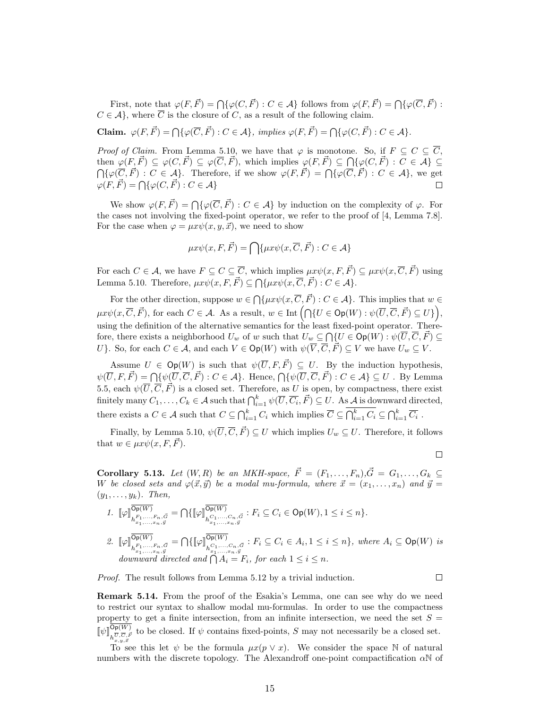First, note that  $\varphi(F, \vec{F}) = \bigcap \{\varphi(C, \vec{F}) : C \in \mathcal{A}\}\)$  follows from  $\varphi(F, \vec{F}) = \bigcap \{\varphi(\overline{C}, \vec{F}) : C \in \mathcal{A}\}\$  $C \in \mathcal{A}$ , where  $\overline{C}$  is the closure of C, as a result of the following claim.

Claim.  $\varphi(F, \vec{F}) = \bigcap \{\varphi(\overline{C}, \vec{F}) : C \in \mathcal{A}\},\ \text{implies}\ \varphi(F, \vec{F}) = \bigcap \{\varphi(C, \vec{F}) : C \in \mathcal{A}\}.$ 

*Proof of Claim.* From Lemma 5.10, we have that  $\varphi$  is monotone. So, if  $F \subseteq C \subseteq \overline{C}$ , then  $\varphi(F, \vec{F}) \subseteq \varphi(C, \vec{F}) \subseteq \varphi(\overline{C}, \vec{F})$ , which implies  $\varphi(F, \vec{F}) \subseteq \bigcap \{\varphi(C, \vec{F}) : C \in \mathcal{A}\} \subseteq$  $\bigcap \{\varphi(\overline{C}, \vec{F}) : C \in \mathcal{A}\}.$  Therefore, if we show  $\varphi(F, \vec{F}) = \bigcap \{\varphi(\overline{C}, \vec{F}) : C \in \mathcal{A}\},\}$  we get  $\varphi(F, \vec{F}) = \bigcap \{ \varphi(C, \vec{F}) : C \in \mathcal{A} \}$ 

We show  $\varphi(F, \vec{F}) = \bigcap \{\varphi(\overline{C}, \vec{F}) : C \in \mathcal{A}\}\$ by induction on the complexity of  $\varphi$ . For the cases not involving the fixed-point operator, we refer to the proof of [4, Lemma 7.8]. For the case when  $\varphi = \mu x \psi(x, y, \vec{x})$ , we need to show

$$
\mu x \psi(x, F, \vec{F}) = \bigcap \{\mu x \psi(x, \overline{C}, \vec{F}) : C \in \mathcal{A}\}
$$

For each  $C \in \mathcal{A}$ , we have  $F \subseteq C \subseteq \overline{C}$ , which implies  $\mu x \psi(x, F, \vec{F}) \subseteq \mu x \psi(x, \overline{C}, \vec{F})$  using Lemma 5.10. Therefore,  $\mu x \psi(x, F, \vec{F}) \subseteq \bigcap \{\mu x \psi(x, \overline{C}, \vec{F}) : C \in \mathcal{A}\}.$ 

For the other direction, suppose  $w \in \bigcap \{\mu x \psi(x, \overline{C}, \overrightarrow{F}) : C \in \mathcal{A}\}\.$  This implies that  $w \in$  $\mu x \psi(x, \overline{C}, \vec{F})$ , for each  $C \in \mathcal{A}$ . As a result,  $w \in \text{Int}\left(\bigcap \{U \in \text{Op}(W) : \psi(\overline{U}, \overline{C}, \vec{F}) \subseteq U\}\right)$ , using the definition of the alternative semantics for the least fixed-point operator. Therefore, there exists a neighborhood  $U_w$  of w such that  $U_w \subseteq \bigcap \{U \in \mathsf{Op}(W) : \psi(\overline{U}, \overline{C}, \vec{F}) \subseteq \emptyset\}$ U}. So, for each  $C \in \mathcal{A}$ , and each  $V \in \mathsf{Op}(W)$  with  $\psi(\overline{V}, \overline{C}, \overline{F}) \subseteq V$  we have  $U_w \subseteq V$ .

Assume  $U \in \mathsf{Op}(W)$  is such that  $\psi(\overline{U}, F, \vec{F}) \subseteq U$ . By the induction hypothesis,  $\psi(\overline{U}, F, \vec{F}) = \bigcap \{\psi(\overline{U}, \overline{C}, \vec{F}) : C \in \mathcal{A}\}\.$  Hence,  $\bigcap \{\psi(\overline{U}, \overline{C}, \vec{F}) : C \in \mathcal{A}\} \subseteq U$ . By Lemma 5.5, each  $\psi(\overline{U}, \overline{C}, \overrightarrow{F})$  is a closed set. Therefore, as U is open, by compactness, there exist finitely many  $C_1,\ldots,C_k\in\mathcal{A}$  such that  $\bigcap_{i=1}^k\psi(\overline{U},\overline{C_i},\vec{F})\subseteq U$ . As  $\mathcal{A}$  is downward directed, there exists a  $C \in \mathcal{A}$  such that  $C \subseteq \bigcap_{i=1}^k C_i$  which implies  $\overline{C} \subseteq \bigcap_{i=1}^k C_i \subseteq \bigcap_{i=1}^k \overline{C_i}$ .

Finally, by Lemma 5.10,  $\psi(\overline{U}, \overline{C}, \overrightarrow{F}) \subseteq U$  which implies  $U_w \subseteq U$ . Therefore, it follows that  $w \in \mu x \psi(x, F, \vec{F}).$ 

 $\Box$ 

Corollary 5.13. Let  $(W, R)$  be an MKH-space,  $\vec{F} = (F_1, \ldots, F_n), \vec{G} = G_1, \ldots, G_k \subseteq$ W be closed sets and  $\varphi(\vec{x}, \vec{y})$  be a modal mu-formula, where  $\vec{x} = (x_1, \ldots, x_n)$  and  $\vec{y} =$  $(y_1, \ldots, y_k)$ . Then,

1. 
$$
\llbracket \varphi \rrbracket_{h_{x_1,\ldots,x_n,\vec{g}}^{D\mathbf{p}(W)}}^{\overline{\mathbf{O}\mathbf{p}(W)}} = \bigcap \{\llbracket \varphi \rrbracket_{h_{x_1,\ldots,x_n,\vec{g}}^{D\mathbf{p}(W)}}^{\overline{\mathbf{O}\mathbf{p}(W)}} : F_i \subseteq C_i \in \mathbf{Op}(W), 1 \leq i \leq n\}.
$$
  
\n2. 
$$
\llbracket \varphi \rrbracket_{h_{x_1,\ldots,x_n,\vec{g}}^{D\mathbf{p}(W)}}^{\overline{\mathbf{O}\mathbf{p}(W)}} = \bigcap \{\llbracket \varphi \rrbracket_{h_{x_1,\ldots,x_n,\vec{g}}^{D\mathbf{p}(W)}}^{\overline{\mathbf{O}\mathbf{p}(W)}} : F_i \subseteq C_i \in A_i, 1 \leq i \leq n\}, \text{ where } A_i \subseteq \mathbf{Op}(W) \text{ is downward directed and } \bigcap A_i = F_i, \text{ for each } 1 \leq i \leq n.
$$

Proof. The result follows from Lemma 5.12 by a trivial induction.

 $\Box$ 

Remark 5.14. From the proof of the Esakia's Lemma, one can see why do we need to restrict our syntax to shallow modal mu-formulas. In order to use the compactness property to get a finite intersection, from an infinite intersection, we need the set  $S =$  $[\![\psi]\!]_{h_{x,y,\vec{x}}^{\overline{U},\overline{F}}$  to be closed. If  $\psi$  contains fixed-points, S may not necessarily be a closed set.

To see this let  $\psi$  be the formula  $\mu x(p \vee x)$ . We consider the space N of natural numbers with the discrete topology. The Alexandroff one-point compactification  $\alpha\mathbb{N}$  of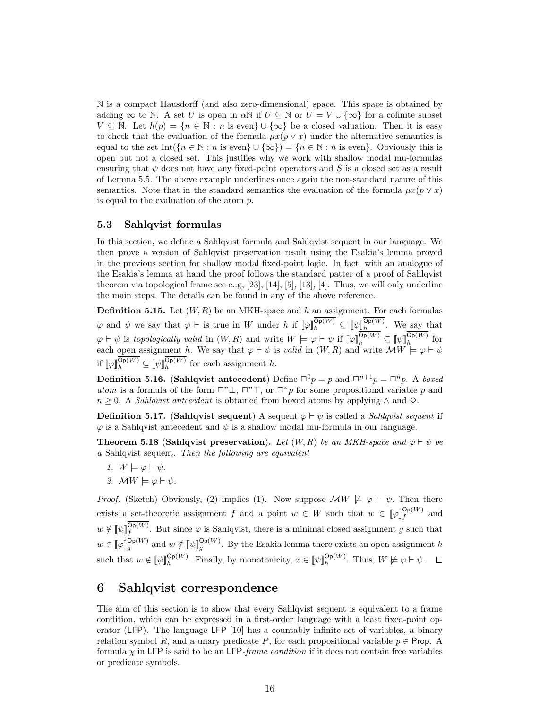N is a compact Hausdorff (and also zero-dimensional) space. This space is obtained by adding  $\infty$  to N. A set U is open in  $\alpha \mathbb{N}$  if  $U \subseteq \mathbb{N}$  or  $U = V \cup \{\infty\}$  for a cofinite subset  $V \subseteq \mathbb{N}$ . Let  $h(p) = \{n \in \mathbb{N} : n \text{ is even}\} \cup \{\infty\}$  be a closed valuation. Then it is easy to check that the evaluation of the formula  $\mu x(p \vee x)$  under the alternative semantics is equal to the set Int( ${n \in \mathbb{N} : n \text{ is even}} \cup {\infty}$ ) =  ${n \in \mathbb{N} : n \text{ is even}}$ . Obviously this is open but not a closed set. This justifies why we work with shallow modal mu-formulas ensuring that  $\psi$  does not have any fixed-point operators and S is a closed set as a result of Lemma 5.5. The above example underlines once again the non-standard nature of this semantics. Note that in the standard semantics the evaluation of the formula  $\mu x(p \vee x)$ is equal to the evaluation of the atom p.

#### 5.3 Sahlqvist formulas

In this section, we define a Sahlqvist formula and Sahlqvist sequent in our language. We then prove a version of Sahlqvist preservation result using the Esakia's lemma proved in the previous section for shallow modal fixed-point logic. In fact, with an analogue of the Esakia's lemma at hand the proof follows the standard patter of a proof of Sahlqvist theorem via topological frame see e.g,  $[23]$ ,  $[14]$ ,  $[5]$ ,  $[13]$ ,  $[4]$ . Thus, we will only underline the main steps. The details can be found in any of the above reference.

**Definition 5.15.** Let  $(W, R)$  be an MKH-space and h an assignment. For each formulas  $\varphi$  and  $\psi$  we say that  $\varphi \vdash$  is true in W under h if  $[\![\varphi]\!]_h^{\mathsf{Op}(W)} \subseteq [\![\psi]\!]_h^{\mathsf{Op}(W)}$ . We say that  $\varphi \vdash \psi$  is topologically valid in  $(W, R)$  and write  $W \models \varphi \vdash \psi$  if  $[\![\varphi]\!]_h^{\mathsf{Op}(W)} \subseteq [\![\psi]\!]_h^{\mathsf{Op}(W)}$  for each open assignment h. We say that  $\varphi \vdash \psi$  is valid in  $(W, R)$  and write  $\mathcal{M}W \models \varphi \vdash \psi$ if  $[\![\varphi]\!]_h^{\mathsf{Op}(W)} \subseteq [\![\psi]\!]_h^{\mathsf{Op}(W)}$  for each assignment h.

**Definition 5.16.** (Sahlqvist antecedent) Define  $\Box^0 p = p$  and  $\Box^{n+1} p = \Box^n p$ . A boxed atom is a formula of the form  $\Box^n \bot$ ,  $\Box^n \top$ , or  $\Box^n p$  for some propositional variable p and  $n \geq 0$ . A *Sahlqvist antecedent* is obtained from boxed atoms by applying  $\land$  and  $\diamond$ .

**Definition 5.17.** (Sahlqvist sequent) A sequent  $\varphi \vdash \psi$  is called a *Sahlqvist sequent* if  $\varphi$  is a Sahlqvist antecedent and  $\psi$  is a shallow modal mu-formula in our language.

**Theorem 5.18 (Sahlqvist preservation).** Let  $(W, R)$  be an MKH-space and  $\varphi \vdash \psi$  be a Sahlqvist sequent. Then the following are equivalent

- 1.  $W \models \varphi \vdash \psi$ .
- 2.  $MW \models \varphi \vdash \psi$ .

*Proof.* (Sketch) Obviously, (2) implies (1). Now suppose  $\mathcal{M}W \not\models \varphi \vdash \psi$ . Then there exists a set-theoretic assignment f and a point  $w \in W$  such that  $w \in [\![\varphi]\!]_f^{\mathsf{Op}(W)}$  and  $w \notin [\![\psi]\!]_f^{\mathsf{Op}(W)}$ . But since  $\varphi$  is Sahlqvist, there is a minimal closed assignment g such that  $w \in [\![\varphi]\!]_g^{\mathsf{Op}(W)}$  and  $w \notin [\![\psi]\!]_g^{\mathsf{Op}(W)}$ . By the Esakia lemma there exists an open assignment h such that  $w \notin [\![\psi]\!]_h^{\mathsf{Op}(W)}$ . Finally, by monotonicity,  $x \in [\![\psi]\!]_h^{\mathsf{Op}(W)}$ . Thus,  $W \not\models \varphi \vdash \psi$ .

### 6 Sahlqvist correspondence

The aim of this section is to show that every Sahlqvist sequent is equivalent to a frame condition, which can be expressed in a first-order language with a least fixed-point operator (LFP). The language LFP [10] has a countably infinite set of variables, a binary relation symbol R, and a unary predicate P, for each propositional variable  $p \in$  Prop. A formula  $\chi$  in LFP is said to be an LFP-frame condition if it does not contain free variables or predicate symbols.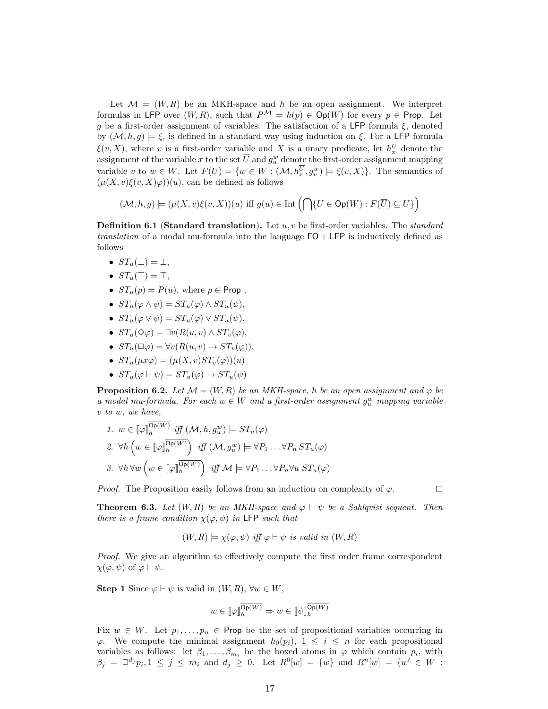Let  $\mathcal{M} = (W, R)$  be an MKH-space and h be an open assignment. We interpret formulas in LFP over  $(W, R)$ , such that  $P^{\mathcal{M}} = h(p) \in \mathsf{Op}(W)$  for every  $p \in \mathsf{Prop}$ . Let g be a first-order assignment of variables. The satisfaction of a LFP formula  $\xi$ , denoted by  $(M, h, g) \models \xi$ , is defined in a standard way using induction on  $\xi$ . For a LFP formula  $\xi(v, X)$ , where v is a first-order variable and X is a unary predicate, let  $h_x^U$  denote the assignment of the variable x to the set  $\overline{U}$  and  $g_u^w$  denote the first-order assignment mapping variable v to  $w \in W$ . Let  $F(U) = \{w \in W : (\mathcal{M}, h_x^U, g_v^w) \models \xi(v, X)\}$ . The semantics of  $(\mu(X, v)\xi(v, X)\varphi)(u)$ , can be defined as follows

$$
(\mathcal{M}, h, g) \models (\mu(X, v)\xi(v, X))(u) \text{ iff } g(u) \in \text{Int}\left(\bigcap\{U \in \text{Op}(W) : F(\overline{U}) \subseteq U\}\right)
$$

**Definition 6.1 (Standard translation).** Let  $u, v$  be first-order variables. The *standard* translation of a modal mu-formula into the language FO + LFP is inductively defined as follows

- $ST_u(\perp) = \perp$ ,
- $ST_u(\top) = \top$ ,
- $ST_u(p) = P(u)$ , where  $p \in \text{Prop}$ ,
- $ST_u(\varphi \wedge \psi) = ST_u(\varphi) \wedge ST_u(\psi),$
- $ST_u(\varphi \vee \psi) = ST_u(\varphi) \vee ST_u(\psi),$
- $ST_u(\Diamond \varphi) = \exists v(R(u, v) \land ST_v(\varphi)),$
- $ST_u(\Box \varphi) = \forall v(R(u, v) \rightarrow ST_v(\varphi)),$
- $ST_u(ux\varphi) = (\mu(X, v)ST_v(\varphi))(u)$
- $ST_u(\varphi \vdash \psi) = ST_u(\varphi) \rightarrow ST_u(\psi)$

**Proposition 6.2.** Let  $\mathcal{M} = (W, R)$  be an MKH-space, h be an open assignment and  $\varphi$  be a modal mu-formula. For each  $w \in W$  and a first-order assignment  $g_w^w$  mapping variable v to w, we have,

1. 
$$
w \in [\![\varphi]\!]_h^{\mathsf{Op}(W)}
$$
 iff  $(\mathcal{M}, h, g_u^w) \models ST_u(\varphi)$   
\n2.  $\forall h \left( w \in [\![\varphi]\!]_h^{\overline{\mathsf{Op}(W)}} \right)$  iff  $(\mathcal{M}, g_u^w) \models \forall P_1 \dots \forall P_n ST_u(\varphi)$   
\n3.  $\forall h \forall w \left( w \in [\![\varphi]\!]_h^{\overline{\mathsf{Op}(W)}} \right)$  iff  $\mathcal{M} \models \forall P_1 \dots \forall P_n \forall u ST_u(\varphi)$ 

*Proof.* The Proposition easily follows from an induction on complexity of  $\varphi$ .

 $\Box$ 

**Theorem 6.3.** Let  $(W, R)$  be an MKH-space and  $\varphi \vdash \psi$  be a Sahlqvist sequent. Then there is a frame condition  $\chi(\varphi, \psi)$  in LFP such that

$$
(W, R) \models \chi(\varphi, \psi)
$$
 iff  $\varphi \vdash \psi$  is valid in  $(W, R)$ 

Proof. We give an algorithm to effectively compute the first order frame correspondent  $\chi(\varphi, \psi)$  of  $\varphi \vdash \psi$ .

Step 1 Since  $\varphi \vdash \psi$  is valid in  $(W, R)$ ,  $\forall w \in W$ ,

$$
w \in [\![\varphi]\!]_h^{\overline{\mathsf{Op}(W)}} \Rightarrow w \in [\![\psi]\!]_h^{\overline{\mathsf{Op}(W)}}
$$

Fix  $w \in W$ . Let  $p_1, \ldots, p_n \in \text{Prop}$  be the set of propositional variables occurring in  $\varphi$ . We compute the minimal assignment  $h_0(p_i)$ ,  $1 \leq i \leq n$  for each propositional variables as follows: let  $\beta_1, \ldots, \beta_{m_i}$  be the boxed atoms in  $\varphi$  which contain  $p_i$ , with  $\beta_j = \Box^{d_j} p_i, 1 \leq j \leq m_i$  and  $d_j \geq 0$ . Let  $R^0[w] = \{w\}$  and  $R^n[w] = \{w' \in W :$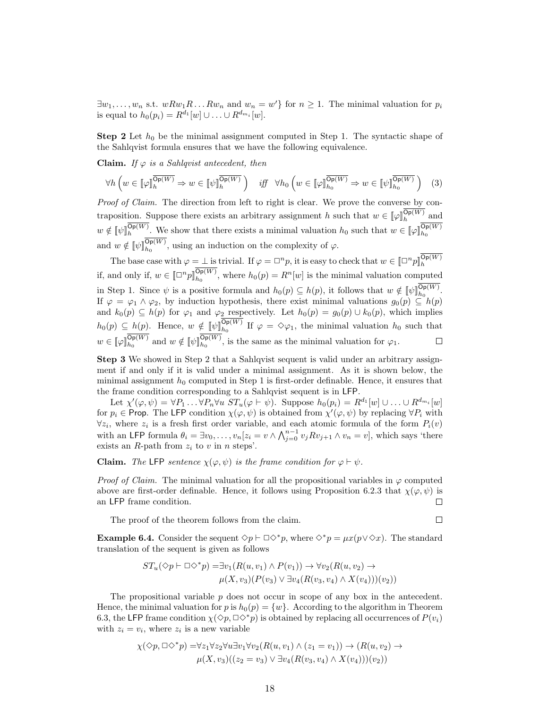$\exists w_1, \ldots, w_n$  s.t.  $wRw_1R \ldots Rw_n$  and  $w_n = w'$  for  $n \geq 1$ . The minimal valuation for  $p_i$ is equal to  $h_0(p_i) = R^{d_1}[w] \cup ... \cup R^{d_{m_i}}[w]$ .

**Step 2** Let  $h_0$  be the minimal assignment computed in Step 1. The syntactic shape of the Sahlqvist formula ensures that we have the following equivalence.

Claim. If  $\varphi$  is a Sahlqvist antecedent, then

$$
\forall h \left( w \in \llbracket \varphi \rrbracket_{h}^{\overline{\mathsf{Op}(W)}} \Rightarrow w \in \llbracket \psi \rrbracket_{h}^{\overline{\mathsf{Op}(W)}} \right) \quad \text{iff} \quad \forall h_0 \left( w \in \llbracket \varphi \rrbracket_{h_0}^{\overline{\mathsf{Op}(W)}} \Rightarrow w \in \llbracket \psi \rrbracket_{h_0}^{\overline{\mathsf{Op}(W)}} \right) \tag{3}
$$

Proof of Claim. The direction from left to right is clear. We prove the converse by contraposition. Suppose there exists an arbitrary assignment h such that  $w \in [\![\varphi]\!]_h^{\mathsf{Op}(W)}$  and  $w \notin [\![\psi]\!]_h^{\mathsf{Op}(W)}$ . We show that there exists a minimal valuation  $h_0$  such that  $w \in [\![\varphi]\!]_{h_0}^{\mathsf{Op}(W)}$ and  $w \notin [\![\psi]\!]_{h_0}^{\mathsf{Op}(W)}$ , using an induction on the complexity of  $\varphi$ .

The base case with  $\varphi = \bot$  is trivial. If  $\varphi = \Box^n p$ , it is easy to check that  $w \in [\Box^n p]_h^{\mathsf{Op}(W)}$ if, and only if,  $w \in [\Box^n p]_{h_0}^{\mathsf{Op}(W)}$ , where  $h_0(p) = R^n[w]$  is the minimal valuation computed in Step 1. Since  $\psi$  is a positive formula and  $h_0(p) \subseteq h(p)$ , it follows that  $w \notin [\psi]_{h_0}^{\mathsf{Op}(W)}$ . If  $\varphi = \varphi_1 \wedge \varphi_2$ , by induction hypothesis, there exist minimal valuations  $g_0(p) \subseteq h(p)$ and  $k_0(p) \subseteq h(p)$  for  $\varphi_1$  and  $\varphi_2$  respectively. Let  $h_0(p) = g_0(p) \cup k_0(p)$ , which implies  $h_0(p) \subseteq h(p)$ . Hence,  $w \notin [\![\psi]\!]_{h_0}^{\mathsf{Op}(W)}$  If  $\varphi = \Diamond \varphi_1$ , the minimal valuation  $h_0$  such that  $w \in [\![\varphi]\!]_{h_0}^{\mathsf{Op}(W)}$  and  $w \notin [\![\psi]\!]_{h_0}^{\mathsf{Op}(W)}$ , is the same as the minimal valuation for  $\varphi_1$ .

Step 3 We showed in Step 2 that a Sahlqvist sequent is valid under an arbitrary assignment if and only if it is valid under a minimal assignment. As it is shown below, the minimal assignment  $h_0$  computed in Step 1 is first-order definable. Hence, it ensures that the frame condition corresponding to a Sahlqvist sequent is in LFP.

Let  $\chi'(\varphi,\psi) = \forall P_1 \dots \forall P_n \forall u \ ST_u(\varphi \vdash \psi)$ . Suppose  $h_0(p_i) = R^{d_1}[w] \cup \dots \cup R^{d_{m_i}}[w]$ for  $p_i \in \text{Prop. The LFP condition } \chi(\varphi, \psi)$  is obtained from  $\chi'(\varphi, \psi)$  by replacing  $\forall P_i$  with  $\forall z_i$ , where  $z_i$  is a fresh first order variable, and each atomic formula of the form  $P_i(v)$ with an LFP formula  $\theta_i = \exists v_0, \ldots, v_n [z_i = v \wedge \bigwedge_{j=0}^{n-1} v_j R v_{j+1} \wedge v_n = v],$  which says 'there exists an  $R$ -path from  $z_i$  to  $v$  in  $n$  steps'.

**Claim.** The LFP sentence  $\chi(\varphi, \psi)$  is the frame condition for  $\varphi \vdash \psi$ .

*Proof of Claim.* The minimal valuation for all the propositional variables in  $\varphi$  computed above are first-order definable. Hence, it follows using Proposition 6.2.3 that  $\chi(\varphi, \psi)$  is an LFP frame condition.  $\Box$ 

The proof of the theorem follows from the claim.

 $\Box$ 

**Example 6.4.** Consider the sequent  $\diamondsuit p \vdash \Box \diamondsuit^*p$ , where  $\diamondsuit^*p = \mu x (p \vee \diamondsuit x)$ . The standard translation of the sequent is given as follows

$$
ST_u(\Diamond p \vdash \Box \Diamond^* p) = \exists v_1(R(u, v_1) \land P(v_1)) \rightarrow \forall v_2(R(u, v_2) \rightarrow
$$

$$
\mu(X, v_3)(P(v_3) \lor \exists v_4(R(v_3, v_4) \land X(v_4)))(v_2))
$$

The propositional variable p does not occur in scope of any box in the antecedent. Hence, the minimal valuation for p is  $h_0(p) = \{w\}$ . According to the algorithm in Theorem 6.3, the LFP frame condition  $\chi(\Diamond p, \Box \Diamond^* p)$  is obtained by replacing all occurrences of  $P(v_i)$ with  $z_i = v_i$ , where  $z_i$  is a new variable

$$
\chi(\Diamond p, \Box \Diamond^* p) = \forall z_1 \forall z_2 \forall u \exists v_1 \forall v_2 (R(u, v_1) \land (z_1 = v_1)) \rightarrow (R(u, v_2) \rightarrow \mu(X, v_3)((z_2 = v_3) \lor \exists v_4 (R(v_3, v_4) \land X(v_4)))(v_2))
$$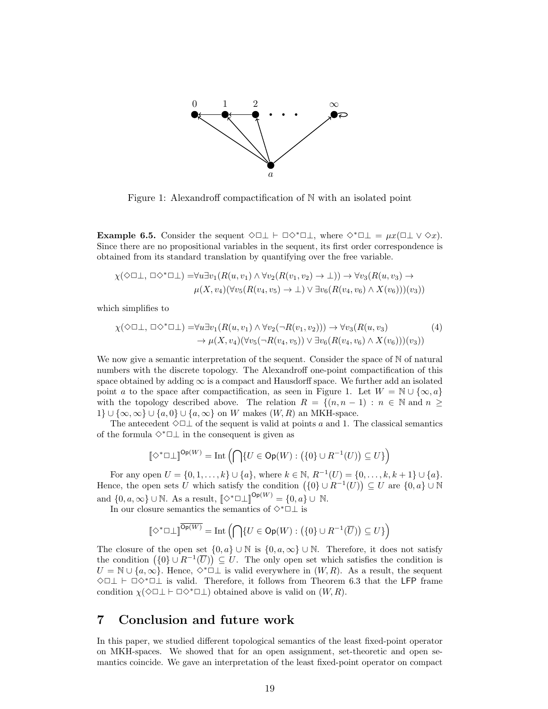

Figure 1: Alexandroff compactification of N with an isolated point

**Example 6.5.** Consider the sequent  $\Diamond \Box \bot \vdash \Box \Diamond^* \Box \bot$ , where  $\Diamond^* \Box \bot = \mu x (\Box \bot \vee \Diamond x)$ . Since there are no propositional variables in the sequent, its first order correspondence is obtained from its standard translation by quantifying over the free variable.

$$
\chi(\Diamond \Box \bot, \Box \Diamond^* \Box \bot) = \forall u \exists v_1 (R(u, v_1) \land \forall v_2 (R(v_1, v_2) \to \bot)) \to \forall v_3 (R(u, v_3) \to \mu(X, v_4) (\forall v_5 (R(v_4, v_5) \to \bot) \lor \exists v_6 (R(v_4, v_6) \land X(v_6)))(v_3))
$$

which simplifies to

$$
\chi(\Diamond \Box \bot, \Box \Diamond^* \Box \bot) = \forall u \exists v_1 (R(u, v_1) \land \forall v_2 (\neg R(v_1, v_2))) \to \forall v_3 (R(u, v_3) \to \neg \mu(X, v_4) (\forall v_5 (\neg R(v_4, v_5)) \lor \exists v_6 (R(v_4, v_6) \land X(v_6)))(v_3))
$$
\n
$$
(4)
$$

We now give a semantic interpretation of the sequent. Consider the space of  $\mathbb N$  of natural numbers with the discrete topology. The Alexandroff one-point compactification of this space obtained by adding  $\infty$  is a compact and Hausdorff space. We further add an isolated point a to the space after compactification, as seen in Figure 1. Let  $W = \mathbb{N} \cup \{\infty, a\}$ with the topology described above. The relation  $R = \{(n, n-1) : n \in \mathbb{N} \text{ and } n \geq 1\}$  $1\} \cup \{\infty, \infty\} \cup \{a, 0\} \cup \{a, \infty\}$  on W makes  $(W, R)$  an MKH-space.

The antecedent  $\Diamond \Box \bot$  of the sequent is valid at points a and 1. The classical semantics of the formula  $\diamond^* \square \bot$  in the consequent is given as

$$
\llbracket \diamond^* \Box \bot \rrbracket^{\mathsf{Op}(W)} = \mathrm{Int}\left(\bigcap \{U \in \mathsf{Op}(W) : \big(\{0\} \cup R^{-1}(U)\big) \subseteq U\}\right)
$$

For any open  $U = \{0, 1, ..., k\} \cup \{a\}$ , where  $k \in \mathbb{N}$ ,  $R^{-1}(U) = \{0, ..., k, k + 1\} \cup \{a\}$ . Hence, the open sets U which satisfy the condition  $(\{0\} \cup R^{-1}(U)) \subseteq U$  are  $\{0,a\} \cup \mathbb{N}$ and  $\{0, a, \infty\} \cup \mathbb{N}$ . As a result,  $\llbracket \Diamond^* \Box \bot \rrbracket^{\mathsf{Op}(W)} = \{0, a\} \cup \mathbb{N}$ .

In our closure semantics the semantics of  $\diamond^*\Box\bot$  is

$$
\llbracket \Diamond^* \Box \bot \rrbracket ^{\overline{\operatorname{Op}(W)}} = \mathrm{Int}\left( \bigcap \{ U \in \operatorname{Op}(W) : \left( \{0\} \cup R^{-1}(\overline{U}) \right) \subseteq U \} \right)
$$

The closure of the open set  $\{0, a\} \cup \mathbb{N}$  is  $\{0, a, \infty\} \cup \mathbb{N}$ . Therefore, it does not satisfy the condition  $(\{0\} \cup R^{-1}(\overline{U})) \subseteq U$ . The only open set which satisfies the condition is  $U = \mathbb{N} \cup \{a, \infty\}$ . Hence,  $\Diamond^* \Box \bot$  is valid everywhere in  $(W, R)$ . As a result, the sequent  $\diamond$ □⊥  $\vdash$  □ぐ $*$ □ $\bot$  is valid. Therefore, it follows from Theorem 6.3 that the LFP frame condition  $\chi(\Diamond \Box \bot \vdash \Box \Diamond^* \Box \bot)$  obtained above is valid on  $(W, R)$ .

### 7 Conclusion and future work

In this paper, we studied different topological semantics of the least fixed-point operator on MKH-spaces. We showed that for an open assignment, set-theoretic and open semantics coincide. We gave an interpretation of the least fixed-point operator on compact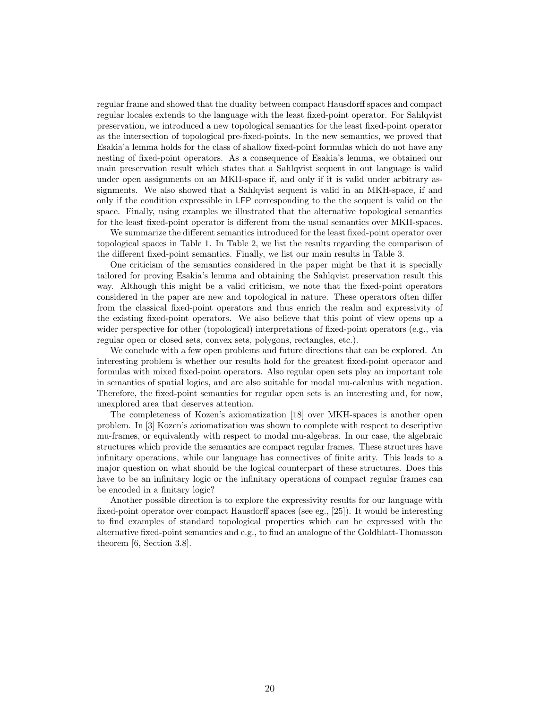regular frame and showed that the duality between compact Hausdorff spaces and compact regular locales extends to the language with the least fixed-point operator. For Sahlqvist preservation, we introduced a new topological semantics for the least fixed-point operator as the intersection of topological pre-fixed-points. In the new semantics, we proved that Esakia'a lemma holds for the class of shallow fixed-point formulas which do not have any nesting of fixed-point operators. As a consequence of Esakia's lemma, we obtained our main preservation result which states that a Sahlqvist sequent in out language is valid under open assignments on an MKH-space if, and only if it is valid under arbitrary assignments. We also showed that a Sahlqvist sequent is valid in an MKH-space, if and only if the condition expressible in LFP corresponding to the the sequent is valid on the space. Finally, using examples we illustrated that the alternative topological semantics for the least fixed-point operator is different from the usual semantics over MKH-spaces.

We summarize the different semantics introduced for the least fixed-point operator over topological spaces in Table 1. In Table 2, we list the results regarding the comparison of the different fixed-point semantics. Finally, we list our main results in Table 3.

One criticism of the semantics considered in the paper might be that it is specially tailored for proving Esakia's lemma and obtaining the Sahlqvist preservation result this way. Although this might be a valid criticism, we note that the fixed-point operators considered in the paper are new and topological in nature. These operators often differ from the classical fixed-point operators and thus enrich the realm and expressivity of the existing fixed-point operators. We also believe that this point of view opens up a wider perspective for other (topological) interpretations of fixed-point operators (e.g., via regular open or closed sets, convex sets, polygons, rectangles, etc.).

We conclude with a few open problems and future directions that can be explored. An interesting problem is whether our results hold for the greatest fixed-point operator and formulas with mixed fixed-point operators. Also regular open sets play an important role in semantics of spatial logics, and are also suitable for modal mu-calculus with negation. Therefore, the fixed-point semantics for regular open sets is an interesting and, for now, unexplored area that deserves attention.

The completeness of Kozen's axiomatization [18] over MKH-spaces is another open problem. In [3] Kozen's axiomatization was shown to complete with respect to descriptive mu-frames, or equivalently with respect to modal mu-algebras. In our case, the algebraic structures which provide the semantics are compact regular frames. These structures have infinitary operations, while our language has connectives of finite arity. This leads to a major question on what should be the logical counterpart of these structures. Does this have to be an infinitary logic or the infinitary operations of compact regular frames can be encoded in a finitary logic?

Another possible direction is to explore the expressivity results for our language with fixed-point operator over compact Hausdorff spaces (see eg., [25]). It would be interesting to find examples of standard topological properties which can be expressed with the alternative fixed-point semantics and e.g., to find an analogue of the Goldblatt-Thomasson theorem [6, Section 3.8].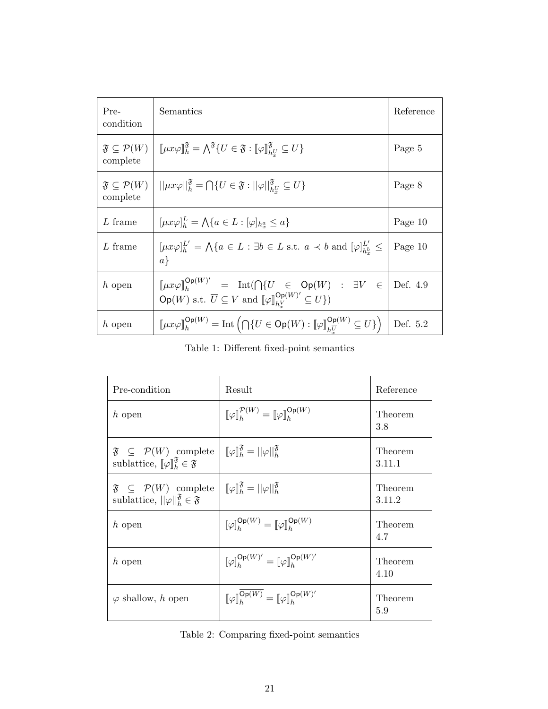| Pre-<br>condition                                 | Semantics                                                                                                                                                                                                                                 | Reference |
|---------------------------------------------------|-------------------------------------------------------------------------------------------------------------------------------------------------------------------------------------------------------------------------------------------|-----------|
| $\mathfrak{F}\subseteq\mathcal{P}(W)$<br>complete | $\text{Im}(\mu x \varphi) \tilde{\mathbf{h}}_h = \bigwedge^{\mathfrak{F}} \{ U \in \mathfrak{F} : \llbracket \varphi \rrbracket_{h^U}^{\mathfrak{F}} \subseteq U \}$                                                                      | Page 5    |
| complete                                          | $\mathfrak{F}\subseteq\mathcal{P}(W) \mid   \mu x\varphi  ^{\mathfrak{F}}_{h}=\bigcap\{U\in\mathfrak{F}:  \varphi  ^{\mathfrak{F}}_{hU}\subseteq U\}$                                                                                     | Page 8    |
| L frame                                           | $[\mu x \varphi]_h^L = \bigwedge \{a \in L : [\varphi]_{h_x^a} \leq a\}$                                                                                                                                                                  | Page 10   |
| L frame                                           | $[\mu x \varphi]_h^{L'} = \bigwedge \{a \in L : \exists b \in L \text{ s.t. } a \prec b \text{ and } [\varphi]_{hb}^{L'} \leq$<br>$a\}$                                                                                                   | Page 10   |
| $h$ open                                          | $[\![\mu x \varphi]\!]_h^{\mathsf{Op}(W)'} = \mathrm{Int}(\bigcap \{U \in \mathsf{Op}(W) : \exists V \in$<br>$\overline{Op(W)}$ s.t. $\overline{U} \subseteq V$ and $[\![\varphi]\!]_{h\underline{V}}^{\overline{Op(W)'}} \subseteq U$ }) | Def. 4.9  |
| h open                                            | $[\![\mu x\varphi]\!]_h^{\mathsf{Op}(W)} = \mathrm{Int}\left(\bigcap\{U\in \mathsf{Op}(W) : [\![\varphi]\!]_{h\overline{U}}^{\overline{\mathsf{Op}(W)}} \subseteq U\}\right)$                                                             | Def. 5.2  |

Table 1: Different fixed-point semantics

| Pre-condition                                                                                                                     | Result                                                                                                    | Reference         |
|-----------------------------------------------------------------------------------------------------------------------------------|-----------------------------------------------------------------------------------------------------------|-------------------|
| $h$ open                                                                                                                          | $\llbracket \varphi \rrbracket_{h}^{\mathcal{P}(W)} = \llbracket \varphi \rrbracket_{h}^{\mathsf{Op}(W)}$ | Theorem<br>3.8    |
| $\mathfrak{F} \subseteq \mathcal{P}(W)$ complete<br>sublattice, $\llbracket \varphi \rrbracket_h^{\mathfrak{F}} \in \mathfrak{F}$ | $\llbracket \varphi \rrbracket_h^{\mathfrak{F}} =   \varphi  _h^{\mathfrak{F}}$                           | Theorem<br>3.11.1 |
| $\mathfrak{F} \subseteq \mathcal{P}(W)$ complete<br>sublattice, $  \varphi  _h^{\mathfrak{F}} \in \mathfrak{F}$                   | $\llbracket \varphi \rrbracket_h^{\mathfrak{F}} =   \varphi  _h^{\mathfrak{F}}$                           | Theorem<br>3.11.2 |
| h open                                                                                                                            | $[\varphi]_h^{\mathsf{Op}(W)} = [\varphi]_h^{\mathsf{Op}(W)}$                                             | Theorem<br>4.7    |
| $h$ open                                                                                                                          | $[\varphi]_b^{\mathsf{Op}(W)'} = [\varphi]_b^{\mathsf{Op}(W)'}$                                           | Theorem<br>4.10   |
| $\varphi$ shallow, h open                                                                                                         | $[\![\varphi]\!]_h^{\mathsf{Op}(W)} = [\![\varphi]\!]_h^{\mathsf{Op}(W)'}$                                | Theorem<br>5.9    |

Table 2: Comparing fixed-point semantics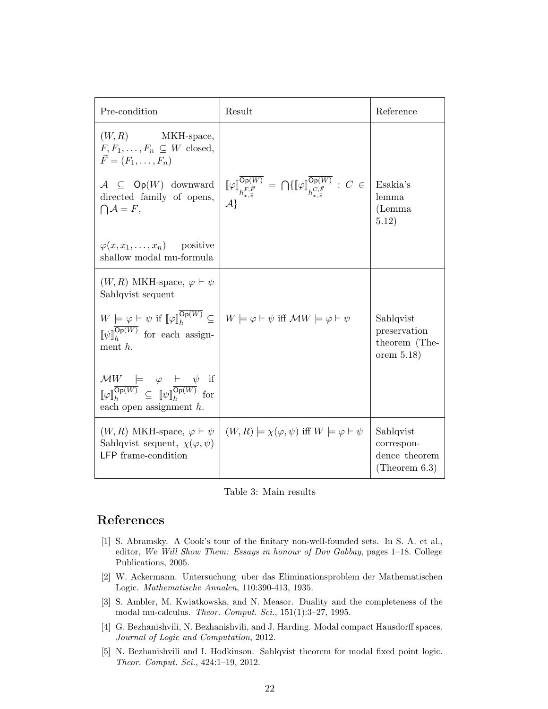| Pre-condition                                                                                                                                                                                                                                                                               | Result                                                                                                                                                                                                                                                                                              | Reference                                                    |
|---------------------------------------------------------------------------------------------------------------------------------------------------------------------------------------------------------------------------------------------------------------------------------------------|-----------------------------------------------------------------------------------------------------------------------------------------------------------------------------------------------------------------------------------------------------------------------------------------------------|--------------------------------------------------------------|
| (W, R)<br>MKH-space,<br>$F, F_1, \ldots, F_n \subseteq W$ closed,<br>$\vec{F} = (F_1, \ldots, F_n)$                                                                                                                                                                                         |                                                                                                                                                                                                                                                                                                     | Esakia's                                                     |
| $\mathcal{A} \subseteq \mathsf{Op}(W)$ downward<br>directed family of opens,<br>$\bigcap A = F,$                                                                                                                                                                                            | $\begin{array}{l} \displaystyle \left[\!\!\left[\varphi\right]\!\!\right]^{\overline{\mathsf{Op}(W)}}_{h^{F,\vec{F}}_{x,\vec{x}}} \, = \, \bigcap \{ \llbracket \varphi \rrbracket^{\overline{\mathsf{Op}(W)}}_{h^{C,\vec{F}}_{x,\vec{x}}} \, : \, C \, \in \, \Big  \\ \mathcal{A} \} \end{array}$ | lemma<br>(Lemma)<br>5.12)                                    |
| $\varphi(x, x_1, \ldots, x_n)$ positive<br>shallow modal mu-formula                                                                                                                                                                                                                         |                                                                                                                                                                                                                                                                                                     |                                                              |
| $(W, R)$ MKH-space, $\varphi \vdash \psi$<br>Sahlqvist sequent                                                                                                                                                                                                                              |                                                                                                                                                                                                                                                                                                     |                                                              |
| $\llbracket \psi \rrbracket_h^{\overline{\mathsf{Op}(W)}}$ for each assign-<br>ment $h$ .                                                                                                                                                                                                   | $W \models \varphi \vdash \psi \text{ if } \llbracket \varphi \rrbracket^{\overline{\mathsf{Op}(W)}}_h \subseteq \Big  W \models \varphi \vdash \psi \text{ iff } \mathcal{M}W \models \varphi \vdash \psi$                                                                                         | Sahlqvist<br>preservation<br>theorem (The-<br>orem $5.18$ )  |
| $\begin{array}{llll} \mathcal{M}W & \models & \varphi & \vdash & \psi \text{\quad \  \  if} \\ \left.\mathbb{F}\varphi\right _h^{\overline{\mathsf{Op}(W)}} & \subseteq & \left.\mathbb{F}\psi\right _h^{\overline{\mathsf{Op}(W)}} & \text{for} \end{array}$<br>each open assignment $h$ . |                                                                                                                                                                                                                                                                                                     |                                                              |
| $(W, R)$ MKH-space, $\varphi \vdash \psi$<br>Sahlqvist sequent, $\chi(\varphi, \psi)$<br><b>LFP</b> frame-condition                                                                                                                                                                         | $(W, R) \models \chi(\varphi, \psi)$ iff $W \models \varphi \vdash \psi$                                                                                                                                                                                                                            | Sahlqvist<br>correspon-<br>dence theorem<br>(Theorem $6.3$ ) |

Table 3: Main results

## References

- [1] S. Abramsky. A Cook's tour of the finitary non-well-founded sets. In S. A. et al., editor, We Will Show Them: Essays in honour of Dov Gabbay, pages 1–18. College Publications, 2005.
- [2] W. Ackermann. Untersuchung uber das Eliminationsproblem der Mathematischen Logic. Mathematische Annalen, 110:390-413, 1935.
- [3] S. Ambler, M. Kwiatkowska, and N. Measor. Duality and the completeness of the modal mu-calculus. Theor. Comput. Sci., 151(1):3–27, 1995.
- [4] G. Bezhanishvili, N. Bezhanishvili, and J. Harding. Modal compact Hausdorff spaces. Journal of Logic and Computation, 2012.
- [5] N. Bezhanishvili and I. Hodkinson. Sahlqvist theorem for modal fixed point logic. Theor. Comput. Sci., 424:1–19, 2012.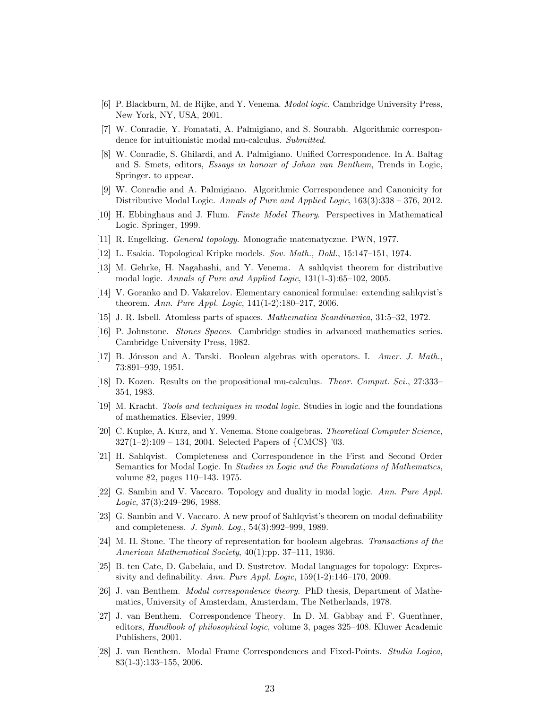- [6] P. Blackburn, M. de Rijke, and Y. Venema. Modal logic. Cambridge University Press, New York, NY, USA, 2001.
- [7] W. Conradie, Y. Fomatati, A. Palmigiano, and S. Sourabh. Algorithmic correspondence for intuitionistic modal mu-calculus. Submitted.
- [8] W. Conradie, S. Ghilardi, and A. Palmigiano. Unified Correspondence. In A. Baltag and S. Smets, editors, Essays in honour of Johan van Benthem, Trends in Logic, Springer. to appear.
- [9] W. Conradie and A. Palmigiano. Algorithmic Correspondence and Canonicity for Distributive Modal Logic. Annals of Pure and Applied Logic, 163(3):338 – 376, 2012.
- [10] H. Ebbinghaus and J. Flum. Finite Model Theory. Perspectives in Mathematical Logic. Springer, 1999.
- [11] R. Engelking. General topology. Monografie matematyczne. PWN, 1977.
- [12] L. Esakia. Topological Kripke models. Sov. Math., Dokl., 15:147–151, 1974.
- [13] M. Gehrke, H. Nagahashi, and Y. Venema. A sahlqvist theorem for distributive modal logic. Annals of Pure and Applied Logic, 131(1-3):65–102, 2005.
- [14] V. Goranko and D. Vakarelov. Elementary canonical formulae: extending sahlqvist's theorem. Ann. Pure Appl. Logic, 141(1-2):180–217, 2006.
- [15] J. R. Isbell. Atomless parts of spaces. Mathematica Scandinavica, 31:5–32, 1972.
- [16] P. Johnstone. Stones Spaces. Cambridge studies in advanced mathematics series. Cambridge University Press, 1982.
- [17] B. Jónsson and A. Tarski. Boolean algebras with operators. I. Amer. J. Math., 73:891–939, 1951.
- [18] D. Kozen. Results on the propositional mu-calculus. Theor. Comput. Sci., 27:333– 354, 1983.
- [19] M. Kracht. Tools and techniques in modal logic. Studies in logic and the foundations of mathematics. Elsevier, 1999.
- [20] C. Kupke, A. Kurz, and Y. Venema. Stone coalgebras. Theoretical Computer Science, 327(1–2):109 – 134, 2004. Selected Papers of {CMCS} '03.
- [21] H. Sahlqvist. Completeness and Correspondence in the First and Second Order Semantics for Modal Logic. In Studies in Logic and the Foundations of Mathematics, volume 82, pages 110–143. 1975.
- [22] G. Sambin and V. Vaccaro. Topology and duality in modal logic. Ann. Pure Appl. Logic, 37(3):249–296, 1988.
- [23] G. Sambin and V. Vaccaro. A new proof of Sahlqvist's theorem on modal definability and completeness. J. Symb. Log., 54(3):992–999, 1989.
- [24] M. H. Stone. The theory of representation for boolean algebras. Transactions of the American Mathematical Society, 40(1):pp. 37–111, 1936.
- [25] B. ten Cate, D. Gabelaia, and D. Sustretov. Modal languages for topology: Expressivity and definability. Ann. Pure Appl. Logic, 159(1-2):146–170, 2009.
- [26] J. van Benthem. Modal correspondence theory. PhD thesis, Department of Mathematics, University of Amsterdam, Amsterdam, The Netherlands, 1978.
- [27] J. van Benthem. Correspondence Theory. In D. M. Gabbay and F. Guenthner, editors, Handbook of philosophical logic, volume 3, pages 325–408. Kluwer Academic Publishers, 2001.
- [28] J. van Benthem. Modal Frame Correspondences and Fixed-Points. Studia Logica, 83(1-3):133–155, 2006.